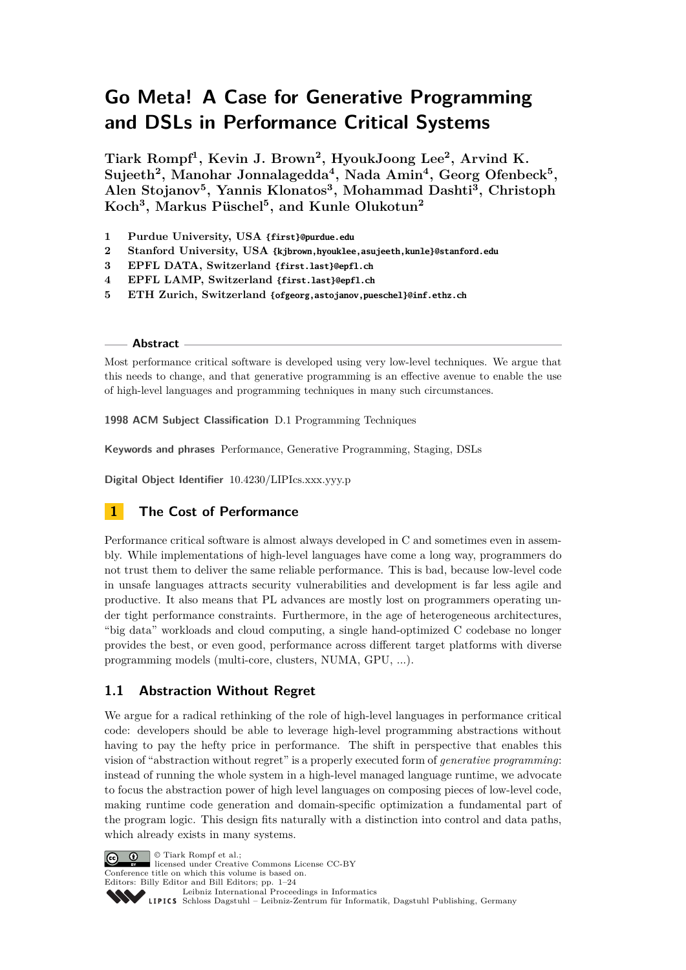# **Go Meta! A Case for Generative Programming and DSLs in Performance Critical Systems**

**Tiark Rompf<sup>1</sup> , Kevin J. Brown<sup>2</sup> , HyoukJoong Lee<sup>2</sup> , Arvind K. Sujeeth<sup>2</sup> , Manohar Jonnalagedda<sup>4</sup> , Nada Amin<sup>4</sup> , Georg Ofenbeck<sup>5</sup> , Alen Stojanov<sup>5</sup> , Yannis Klonatos<sup>3</sup> , Mohammad Dashti<sup>3</sup> , Christoph Koch<sup>3</sup> , Markus Püschel<sup>5</sup> , and Kunle Olukotun<sup>2</sup>**

- **1 Purdue University, USA {first}@purdue.edu**
- **2 Stanford University, USA {kjbrown,hyouklee,asujeeth,kunle}@stanford.edu**
- **3 EPFL DATA, Switzerland {first.last}@epfl.ch**
- **4 EPFL LAMP, Switzerland {first.last}@epfl.ch**
- **5 ETH Zurich, Switzerland {ofgeorg,astojanov,pueschel}@inf.ethz.ch**

#### **Abstract**

Most performance critical software is developed using very low-level techniques. We argue that this needs to change, and that generative programming is an effective avenue to enable the use of high-level languages and programming techniques in many such circumstances.

**1998 ACM Subject Classification** D.1 Programming Techniques

**Keywords and phrases** Performance, Generative Programming, Staging, DSLs

**Digital Object Identifier** [10.4230/LIPIcs.xxx.yyy.p](http://dx.doi.org/10.4230/LIPIcs.xxx.yyy.p)

# <span id="page-0-0"></span>**1 The Cost of Performance**

Performance critical software is almost always developed in C and sometimes even in assembly. While implementations of high-level languages have come a long way, programmers do not trust them to deliver the same reliable performance. This is bad, because low-level code in unsafe languages attracts security vulnerabilities and development is far less agile and productive. It also means that PL advances are mostly lost on programmers operating under tight performance constraints. Furthermore, in the age of heterogeneous architectures, "big data" workloads and cloud computing, a single hand-optimized C codebase no longer provides the best, or even good, performance across different target platforms with diverse programming models (multi-core, clusters, NUMA, GPU, ...).

# **1.1 Abstraction Without Regret**

We argue for a radical rethinking of the role of high-level languages in performance critical code: developers should be able to leverage high-level programming abstractions without having to pay the hefty price in performance. The shift in perspective that enables this vision of "abstraction without regret" is a properly executed form of *generative programming*: instead of running the whole system in a high-level managed language runtime, we advocate to focus the abstraction power of high level languages on composing pieces of low-level code, making runtime code generation and domain-specific optimization a fundamental part of the program logic. This design fits naturally with a distinction into control and data paths, which already exists in many systems.

© Tiark Rompf et al.;

licensed under Creative Commons License CC-BY Conference title on which this volume is based on.

Editors: Billy Editor and Bill Editors; pp. 1[–24](#page-23-0)

[Leibniz International Proceedings in Informatics](http://www.dagstuhl.de/lipics/) Leibniz international Floretungs in missimosische Publishing, Germany<br>LIPICS [Schloss Dagstuhl – Leibniz-Zentrum für Informatik, Dagstuhl Publishing, Germany](http://www.dagstuhl.de)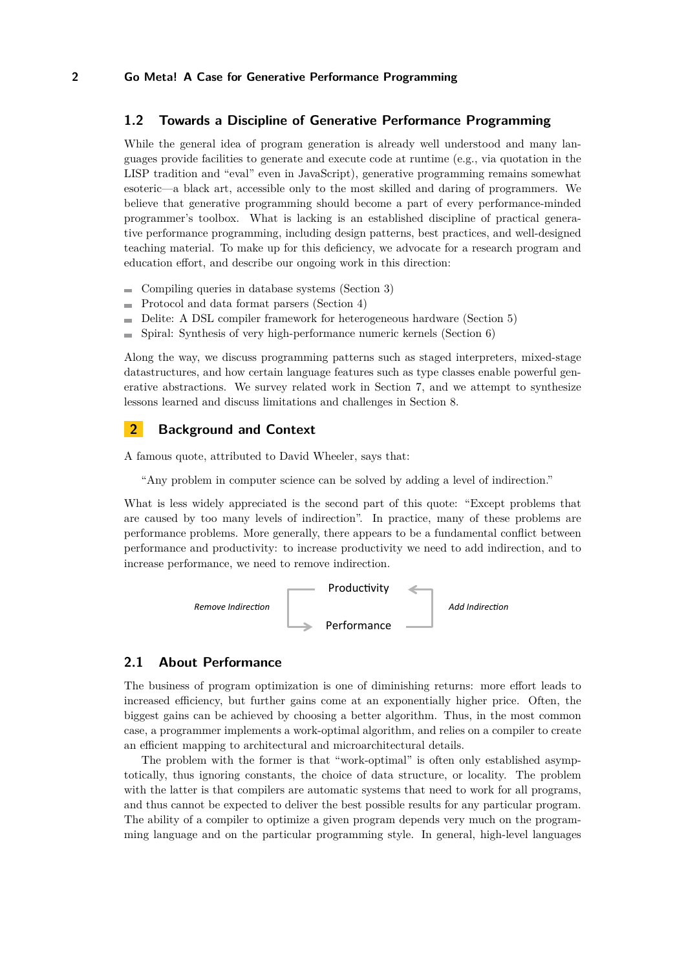#### **1.2 Towards a Discipline of Generative Performance Programming**

While the general idea of program generation is already well understood and many languages provide facilities to generate and execute code at runtime (e.g., via quotation in the LISP tradition and "eval" even in JavaScript), generative programming remains somewhat esoteric—a black art, accessible only to the most skilled and daring of programmers. We believe that generative programming should become a part of every performance-minded programmer's toolbox. What is lacking is an established discipline of practical generative performance programming, including design patterns, best practices, and well-designed teaching material. To make up for this deficiency, we advocate for a research program and education effort, and describe our ongoing work in this direction:

- $\blacksquare$  Compiling queries in database systems (Section [3\)](#page-4-0)
- Protocol and data format parsers (Section [4\)](#page-7-0)
- Delite: A DSL compiler framework for heterogeneous hardware (Section [5\)](#page-8-0)
- $\blacksquare$  Spiral: Synthesis of very high-performance numeric kernels (Section [6\)](#page-9-0)

Along the way, we discuss programming patterns such as staged interpreters, mixed-stage datastructures, and how certain language features such as type classes enable powerful generative abstractions. We survey related work in Section [7,](#page-11-0) and we attempt to synthesize lessons learned and discuss limitations and challenges in Section [8.](#page-12-0)

## <span id="page-1-0"></span>**2 Background and Context**

A famous quote, attributed to David Wheeler, says that:

"Any problem in computer science can be solved by adding a level of indirection."

What is less widely appreciated is the second part of this quote: "Except problems that are caused by too many levels of indirection". In practice, many of these problems are performance problems. More generally, there appears to be a fundamental conflict between performance and productivity: to increase productivity we need to add indirection, and to increase performance, we need to remove indirection.



#### **2.1 About Performance**

The business of program optimization is one of diminishing returns: more effort leads to increased efficiency, but further gains come at an exponentially higher price. Often, the biggest gains can be achieved by choosing a better algorithm. Thus, in the most common case, a programmer implements a work-optimal algorithm, and relies on a compiler to create an efficient mapping to architectural and microarchitectural details.

The problem with the former is that "work-optimal" is often only established asymptotically, thus ignoring constants, the choice of data structure, or locality. The problem with the latter is that compilers are automatic systems that need to work for all programs, and thus cannot be expected to deliver the best possible results for any particular program. The ability of a compiler to optimize a given program depends very much on the programming language and on the particular programming style. In general, high-level languages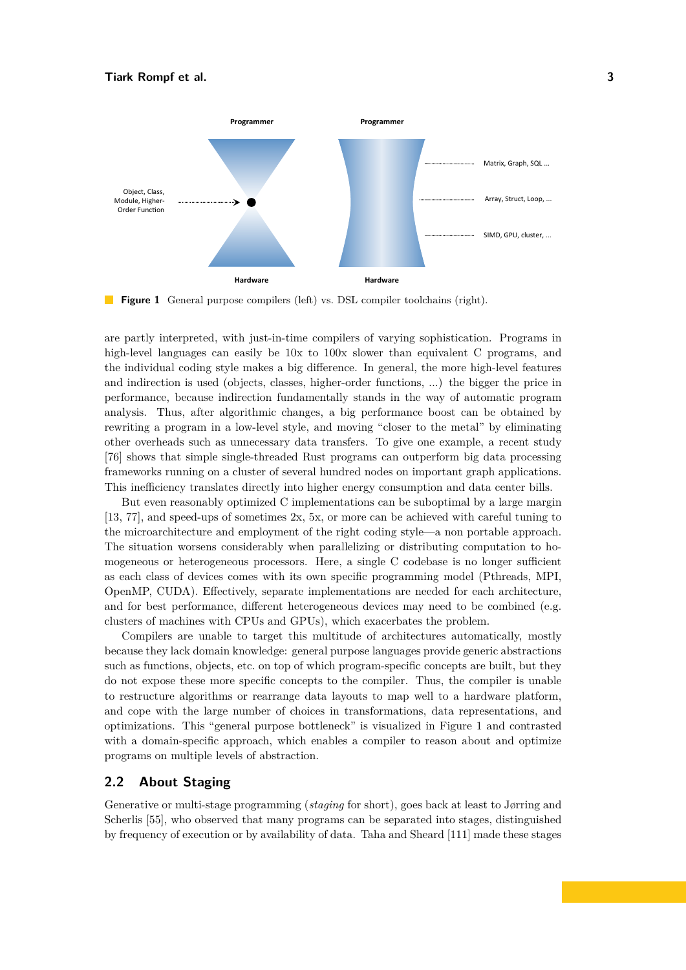<span id="page-2-0"></span>

**Figure 1** General purpose compilers (left) vs. DSL compiler toolchains (right).

are partly interpreted, with just-in-time compilers of varying sophistication. Programs in high-level languages can easily be  $10x$  to  $100x$  slower than equivalent C programs, and the individual coding style makes a big difference. In general, the more high-level features and indirection is used (objects, classes, higher-order functions, ...) the bigger the price in performance, because indirection fundamentally stands in the way of automatic program analysis. Thus, after algorithmic changes, a big performance boost can be obtained by rewriting a program in a low-level style, and moving "closer to the metal" by eliminating other overheads such as unnecessary data transfers. To give one example, a recent study [\[76\]](#page-20-0) shows that simple single-threaded Rust programs can outperform big data processing frameworks running on a cluster of several hundred nodes on important graph applications. This inefficiency translates directly into higher energy consumption and data center bills.

But even reasonably optimized C implementations can be suboptimal by a large margin [\[13,](#page-16-0) [77\]](#page-20-1), and speed-ups of sometimes 2x, 5x, or more can be achieved with careful tuning to the microarchitecture and employment of the right coding style—a non portable approach. The situation worsens considerably when parallelizing or distributing computation to homogeneous or heterogeneous processors. Here, a single C codebase is no longer sufficient as each class of devices comes with its own specific programming model (Pthreads, MPI, OpenMP, CUDA). Effectively, separate implementations are needed for each architecture, and for best performance, different heterogeneous devices may need to be combined (e.g. clusters of machines with CPUs and GPUs), which exacerbates the problem.

Compilers are unable to target this multitude of architectures automatically, mostly because they lack domain knowledge: general purpose languages provide generic abstractions such as functions, objects, etc. on top of which program-specific concepts are built, but they do not expose these more specific concepts to the compiler. Thus, the compiler is unable to restructure algorithms or rearrange data layouts to map well to a hardware platform, and cope with the large number of choices in transformations, data representations, and optimizations. This "general purpose bottleneck" is visualized in Figure [1](#page-2-0) and contrasted with a domain-specific approach, which enables a compiler to reason about and optimize programs on multiple levels of abstraction.

## **2.2 About Staging**

Generative or multi-stage programming (*staging* for short), goes back at least to Jørring and Scherlis [\[55\]](#page-19-0), who observed that many programs can be separated into stages, distinguished by frequency of execution or by availability of data. Taha and Sheard [\[111\]](#page-22-0) made these stages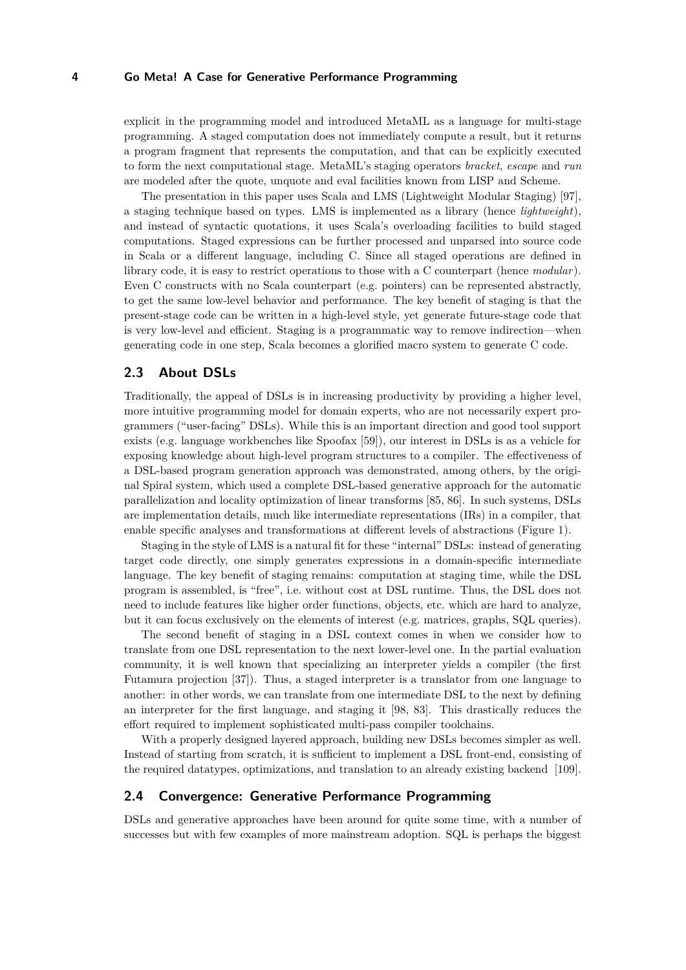explicit in the programming model and introduced MetaML as a language for multi-stage programming. A staged computation does not immediately compute a result, but it returns a program fragment that represents the computation, and that can be explicitly executed to form the next computational stage. MetaML's staging operators *bracket*, *escape* and *run* are modeled after the quote, unquote and eval facilities known from LISP and Scheme.

The presentation in this paper uses Scala and LMS (Lightweight Modular Staging) [\[97\]](#page-21-0), a staging technique based on types. LMS is implemented as a library (hence *lightweight*), and instead of syntactic quotations, it uses Scala's overloading facilities to build staged computations. Staged expressions can be further processed and unparsed into source code in Scala or a different language, including C. Since all staged operations are defined in library code, it is easy to restrict operations to those with a C counterpart (hence *modular*). Even C constructs with no Scala counterpart (e.g. pointers) can be represented abstractly, to get the same low-level behavior and performance. The key benefit of staging is that the present-stage code can be written in a high-level style, yet generate future-stage code that is very low-level and efficient. Staging is a programmatic way to remove indirection—when generating code in one step, Scala becomes a glorified macro system to generate C code.

## **2.3 About DSLs**

Traditionally, the appeal of DSLs is in increasing productivity by providing a higher level, more intuitive programming model for domain experts, who are not necessarily expert programmers ("user-facing" DSLs). While this is an important direction and good tool support exists (e.g. language workbenches like Spoofax [\[59\]](#page-19-1)), our interest in DSLs is as a vehicle for exposing knowledge about high-level program structures to a compiler. The effectiveness of a DSL-based program generation approach was demonstrated, among others, by the original Spiral system, which used a complete DSL-based generative approach for the automatic parallelization and locality optimization of linear transforms [\[85,](#page-21-1) [86\]](#page-21-2). In such systems, DSLs are implementation details, much like intermediate representations (IRs) in a compiler, that enable specific analyses and transformations at different levels of abstractions (Figure [1\)](#page-2-0).

Staging in the style of LMS is a natural fit for these "internal" DSLs: instead of generating target code directly, one simply generates expressions in a domain-specific intermediate language. The key benefit of staging remains: computation at staging time, while the DSL program is assembled, is "free", i.e. without cost at DSL runtime. Thus, the DSL does not need to include features like higher order functions, objects, etc. which are hard to analyze, but it can focus exclusively on the elements of interest (e.g. matrices, graphs, SQL queries).

The second benefit of staging in a DSL context comes in when we consider how to translate from one DSL representation to the next lower-level one. In the partial evaluation community, it is well known that specializing an interpreter yields a compiler (the first Futamura projection [\[37\]](#page-18-0)). Thus, a staged interpreter is a translator from one language to another: in other words, we can translate from one intermediate DSL to the next by defining an interpreter for the first language, and staging it [\[98,](#page-21-3) [83\]](#page-20-2). This drastically reduces the effort required to implement sophisticated multi-pass compiler toolchains.

With a properly designed layered approach, building new DSLs becomes simpler as well. Instead of starting from scratch, it is sufficient to implement a DSL front-end, consisting of the required datatypes, optimizations, and translation to an already existing backend [\[109\]](#page-22-1).

## **2.4 Convergence: Generative Performance Programming**

DSLs and generative approaches have been around for quite some time, with a number of successes but with few examples of more mainstream adoption. SQL is perhaps the biggest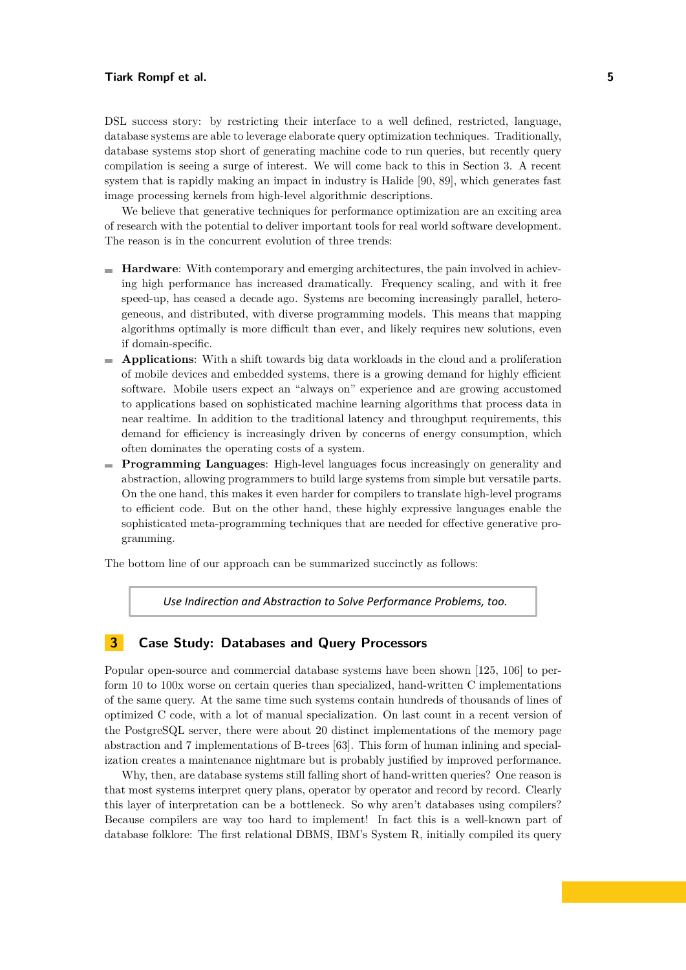#### **Tiark Rompf et al. 5**

DSL success story: by restricting their interface to a well defined, restricted, language, database systems are able to leverage elaborate query optimization techniques. Traditionally, database systems stop short of generating machine code to run queries, but recently query compilation is seeing a surge of interest. We will come back to this in Section [3.](#page-4-0) A recent system that is rapidly making an impact in industry is Halide [\[90,](#page-21-4) [89\]](#page-21-5), which generates fast image processing kernels from high-level algorithmic descriptions.

We believe that generative techniques for performance optimization are an exciting area of research with the potential to deliver important tools for real world software development. The reason is in the concurrent evolution of three trends:

- **Hardware**: With contemporary and emerging architectures, the pain involved in achieving high performance has increased dramatically. Frequency scaling, and with it free speed-up, has ceased a decade ago. Systems are becoming increasingly parallel, heterogeneous, and distributed, with diverse programming models. This means that mapping algorithms optimally is more difficult than ever, and likely requires new solutions, even if domain-specific.
- **Applications**: With a shift towards big data workloads in the cloud and a proliferation of mobile devices and embedded systems, there is a growing demand for highly efficient software. Mobile users expect an "always on" experience and are growing accustomed to applications based on sophisticated machine learning algorithms that process data in near realtime. In addition to the traditional latency and throughput requirements, this demand for efficiency is increasingly driven by concerns of energy consumption, which often dominates the operating costs of a system.
- **Programming Languages**: High-level languages focus increasingly on generality and abstraction, allowing programmers to build large systems from simple but versatile parts. On the one hand, this makes it even harder for compilers to translate high-level programs to efficient code. But on the other hand, these highly expressive languages enable the sophisticated meta-programming techniques that are needed for effective generative programming.

The bottom line of our approach can be summarized succinctly as follows:

Use Indirection and Abstraction to Solve Performance Problems, too.

## <span id="page-4-0"></span>**3 Case Study: Databases and Query Processors**

Popular open-source and commercial database systems have been shown [\[125,](#page-23-1) [106\]](#page-22-2) to perform 10 to 100x worse on certain queries than specialized, hand-written C implementations of the same query. At the same time such systems contain hundreds of thousands of lines of optimized C code, with a lot of manual specialization. On last count in a recent version of the PostgreSQL server, there were about 20 distinct implementations of the memory page abstraction and 7 implementations of B-trees [\[63\]](#page-19-2). This form of human inlining and specialization creates a maintenance nightmare but is probably justified by improved performance.

Why, then, are database systems still falling short of hand-written queries? One reason is that most systems interpret query plans, operator by operator and record by record. Clearly this layer of interpretation can be a bottleneck. So why aren't databases using compilers? Because compilers are way too hard to implement! In fact this is a well-known part of database folklore: The first relational DBMS, IBM's System R, initially compiled its query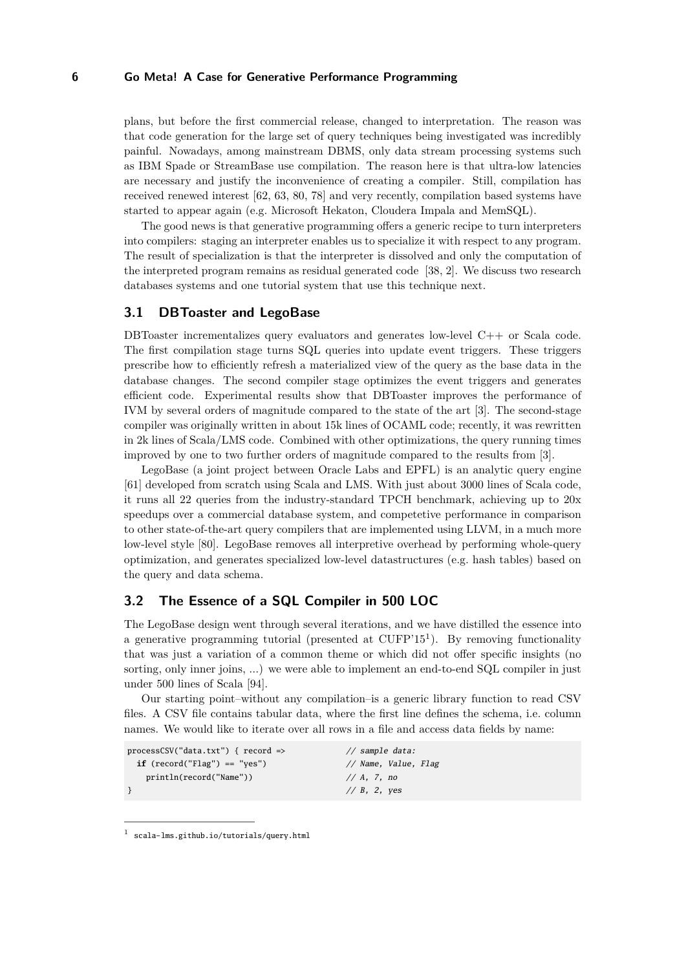plans, but before the first commercial release, changed to interpretation. The reason was that code generation for the large set of query techniques being investigated was incredibly painful. Nowadays, among mainstream DBMS, only data stream processing systems such as IBM Spade or StreamBase use compilation. The reason here is that ultra-low latencies are necessary and justify the inconvenience of creating a compiler. Still, compilation has received renewed interest [\[62,](#page-19-3) [63,](#page-19-2) [80,](#page-20-3) [78\]](#page-20-4) and very recently, compilation based systems have started to appear again (e.g. Microsoft Hekaton, Cloudera Impala and MemSQL).

The good news is that generative programming offers a generic recipe to turn interpreters into compilers: staging an interpreter enables us to specialize it with respect to any program. The result of specialization is that the interpreter is dissolved and only the computation of the interpreted program remains as residual generated code [\[38,](#page-18-1) [2\]](#page-16-1). We discuss two research databases systems and one tutorial system that use this technique next.

#### **3.1 DBToaster and LegoBase**

DBToaster incrementalizes query evaluators and generates low-level C++ or Scala code. The first compilation stage turns SQL queries into update event triggers. These triggers prescribe how to efficiently refresh a materialized view of the query as the base data in the database changes. The second compiler stage optimizes the event triggers and generates efficient code. Experimental results show that DBToaster improves the performance of IVM by several orders of magnitude compared to the state of the art [\[3\]](#page-16-2). The second-stage compiler was originally written in about 15k lines of OCAML code; recently, it was rewritten in 2k lines of Scala/LMS code. Combined with other optimizations, the query running times improved by one to two further orders of magnitude compared to the results from [\[3\]](#page-16-2).

LegoBase (a joint project between Oracle Labs and EPFL) is an analytic query engine [\[61\]](#page-19-4) developed from scratch using Scala and LMS. With just about 3000 lines of Scala code, it runs all 22 queries from the industry-standard TPCH benchmark, achieving up to 20x speedups over a commercial database system, and competetive performance in comparison to other state-of-the-art query compilers that are implemented using LLVM, in a much more low-level style [\[80\]](#page-20-3). LegoBase removes all interpretive overhead by performing whole-query optimization, and generates specialized low-level datastructures (e.g. hash tables) based on the query and data schema.

#### **3.2 The Essence of a SQL Compiler in 500 LOC**

The LegoBase design went through several iterations, and we have distilled the essence into a generative programming tutorial (presented at CUFP'[1](#page-5-0)5<sup>1</sup>). By removing functionality that was just a variation of a common theme or which did not offer specific insights (no sorting, only inner joins, ...) we were able to implement an end-to-end SQL compiler in just under 500 lines of Scala [\[94\]](#page-21-6).

Our starting point–without any compilation–is a generic library function to read CSV files. A CSV file contains tabular data, where the first line defines the schema, i.e. column names. We would like to iterate over all rows in a file and access data fields by name:

```
processCSV("data.txt") { record => // sample data:
 if (record("Flag") == "yes") // Name, Value, Flag
  println(record("Name")) // A, 7, no
} // B, 2, yes
```
<span id="page-5-0"></span><sup>1</sup> <scala-lms.github.io/tutorials/query.html>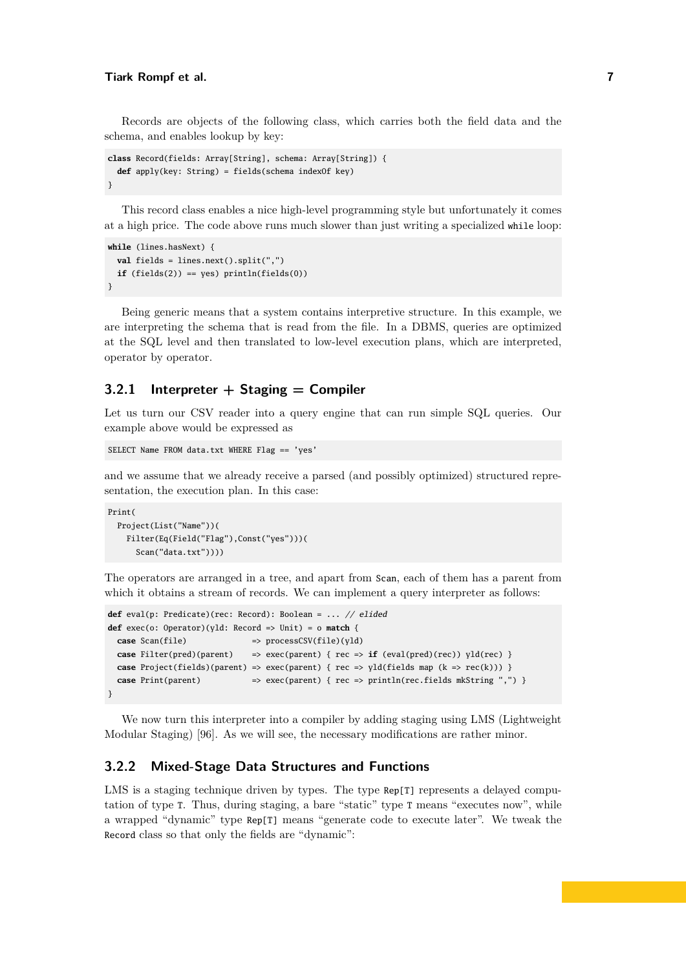#### **Tiark Rompf et al. 7**

Records are objects of the following class, which carries both the field data and the schema, and enables lookup by key:

```
class Record(fields: Array[String], schema: Array[String]) {
  def apply(key: String) = fields(schema indexOf key)
}
```
This record class enables a nice high-level programming style but unfortunately it comes at a high price. The code above runs much slower than just writing a specialized while loop:

```
while (lines.hasNext) {
  val fields = lines.next().split(",")
  if (fields(2)) == yes) printIn(fields(0))}
```
Being generic means that a system contains interpretive structure. In this example, we are interpreting the schema that is read from the file. In a DBMS, queries are optimized at the SQL level and then translated to low-level execution plans, which are interpreted, operator by operator.

# **3.2.1 Interpreter + Staging = Compiler**

Let us turn our CSV reader into a query engine that can run simple SQL queries. Our example above would be expressed as

```
SELECT Name FROM data.txt WHERE Flag == 'yes'
```
and we assume that we already receive a parsed (and possibly optimized) structured representation, the execution plan. In this case:

```
Print(
 Project(List("Name"))(
   Filter(Eq(Field("Flag"),Const("yes")))(
      Scan("data.txt"))))
```
The operators are arranged in a tree, and apart from Scan, each of them has a parent from which it obtains a stream of records. We can implement a query interpreter as follows:

```
def eval(p: Predicate)(rec: Record): Boolean = ... // elided
def exec(o: Operator)(yld: Record => Unit) = o match {
 case Scan(file) => processCSV(file)(yld)
 case Filter(pred)(parent) => exec(parent) { rec => if (eval(pred)(rec)) yld(rec) }
 case Project(fields)(parent) => exec(parent) { rec => yld(fields map (k = > rec(k))) }
 case Print(parent) => exec(parent) { rec => println(rec.fields mkString ", ") }
}
```
We now turn this interpreter into a compiler by adding staging using LMS (Lightweight Modular Staging) [\[96\]](#page-21-7). As we will see, the necessary modifications are rather minor.

## **3.2.2 Mixed-Stage Data Structures and Functions**

LMS is a staging technique driven by types. The type Rep[T] represents a delayed computation of type T. Thus, during staging, a bare "static" type T means "executes now", while a wrapped "dynamic" type Rep[T] means "generate code to execute later". We tweak the Record class so that only the fields are "dynamic":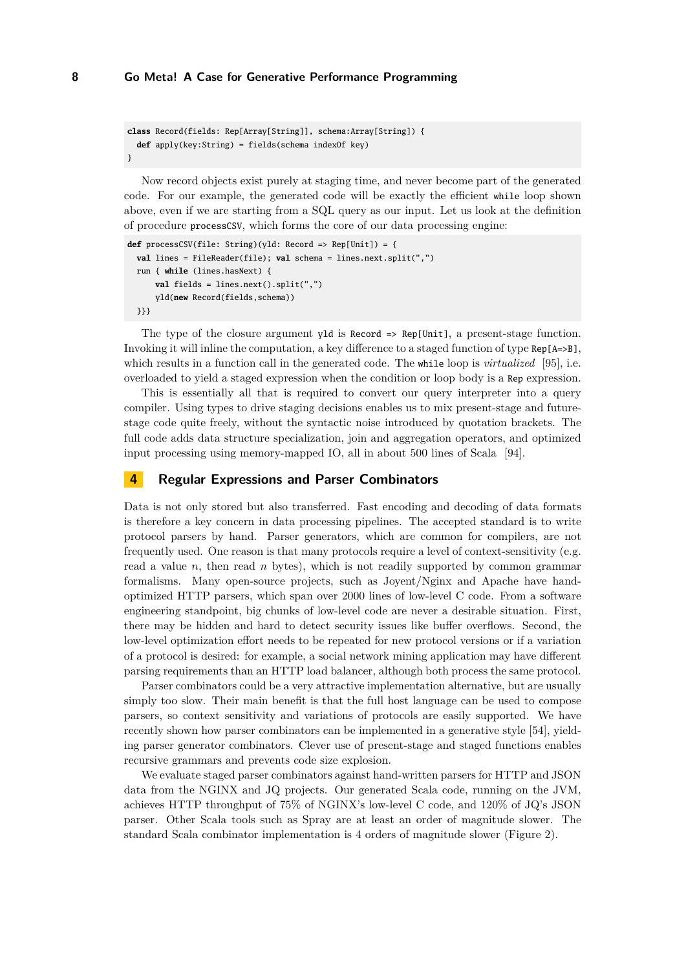```
class Record(fields: Rep[Array[String]], schema:Array[String]) {
  def apply(key:String) = fields(schema indexOf key)
}
```
Now record objects exist purely at staging time, and never become part of the generated code. For our example, the generated code will be exactly the efficient while loop shown above, even if we are starting from a SQL query as our input. Let us look at the definition of procedure processCSV, which forms the core of our data processing engine:

```
def processCSV(file: String)(yld: Record => Rep[Unit]) = {
  val lines = FileReader(file); val schema = lines.next.split(",")
  run { while (lines.hasNext) {
      val fields = lines.next().split(",")
      yld(new Record(fields,schema))
  }}}
```
The type of the closure argument yld is Record => Rep[Unit], a present-stage function. Invoking it will inline the computation, a key difference to a staged function of type Rep[A=>B], which results in a function call in the generated code. The while loop is *virtualized* [\[95\]](#page-21-8), i.e. overloaded to yield a staged expression when the condition or loop body is a Rep expression.

This is essentially all that is required to convert our query interpreter into a query compiler. Using types to drive staging decisions enables us to mix present-stage and futurestage code quite freely, without the syntactic noise introduced by quotation brackets. The full code adds data structure specialization, join and aggregation operators, and optimized input processing using memory-mapped IO, all in about 500 lines of Scala [\[94\]](#page-21-6).

#### <span id="page-7-0"></span>**4 Regular Expressions and Parser Combinators**

Data is not only stored but also transferred. Fast encoding and decoding of data formats is therefore a key concern in data processing pipelines. The accepted standard is to write protocol parsers by hand. Parser generators, which are common for compilers, are not frequently used. One reason is that many protocols require a level of context-sensitivity (e.g. read a value *n*, then read *n* bytes), which is not readily supported by common grammar formalisms. Many open-source projects, such as Joyent/Nginx and Apache have handoptimized HTTP parsers, which span over 2000 lines of low-level C code. From a software engineering standpoint, big chunks of low-level code are never a desirable situation. First, there may be hidden and hard to detect security issues like buffer overflows. Second, the low-level optimization effort needs to be repeated for new protocol versions or if a variation of a protocol is desired: for example, a social network mining application may have different parsing requirements than an HTTP load balancer, although both process the same protocol.

Parser combinators could be a very attractive implementation alternative, but are usually simply too slow. Their main benefit is that the full host language can be used to compose parsers, so context sensitivity and variations of protocols are easily supported. We have recently shown how parser combinators can be implemented in a generative style [\[54\]](#page-19-5), yielding parser generator combinators. Clever use of present-stage and staged functions enables recursive grammars and prevents code size explosion.

We evaluate staged parser combinators against hand-written parsers for HTTP and JSON data from the NGINX and JQ projects. Our generated Scala code, running on the JVM, achieves HTTP throughput of 75% of NGINX's low-level C code, and 120% of JQ's JSON parser. Other Scala tools such as Spray are at least an order of magnitude slower. The standard Scala combinator implementation is 4 orders of magnitude slower (Figure [2\)](#page-8-1).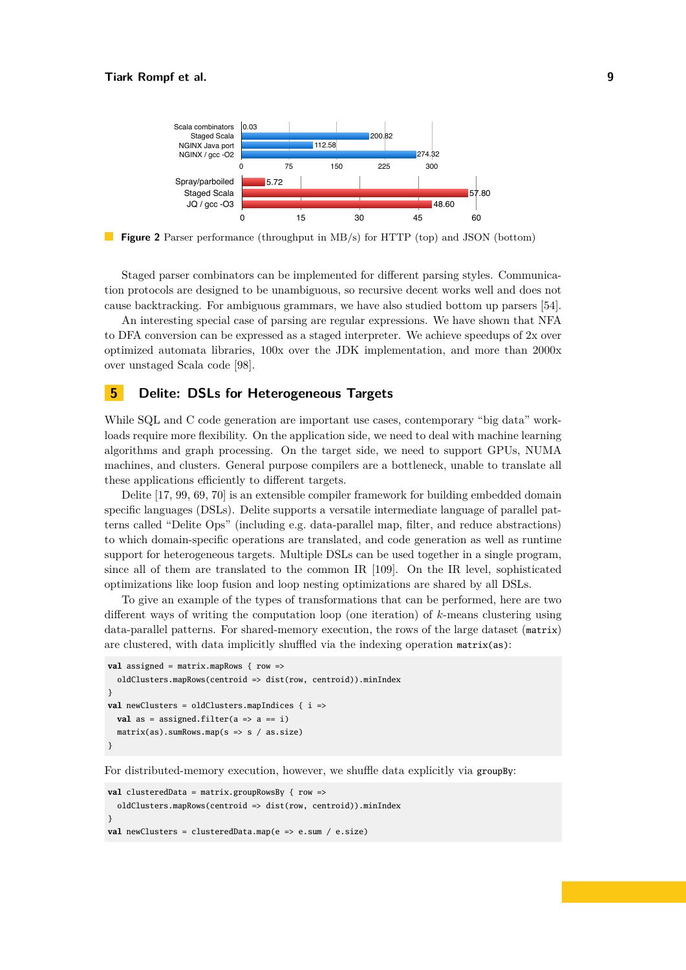<span id="page-8-1"></span>

**Figure 2** Parser performance (throughput in MB/s) for HTTP (top) and JSON (bottom)

Staged parser combinators can be implemented for different parsing styles. Communication protocols are designed to be unambiguous, so recursive decent works well and does not cause backtracking. For ambiguous grammars, we have also studied bottom up parsers [\[54\]](#page-19-5).

An interesting special case of parsing are regular expressions. We have shown that NFA to DFA conversion can be expressed as a staged interpreter. We achieve speedups of 2x over optimized automata libraries, 100x over the JDK implementation, and more than 2000x over unstaged Scala code [\[98\]](#page-21-3).

## <span id="page-8-0"></span>**5 Delite: DSLs for Heterogeneous Targets**

While SQL and C code generation are important use cases, contemporary "big data" workloads require more flexibility. On the application side, we need to deal with machine learning algorithms and graph processing. On the target side, we need to support GPUs, NUMA machines, and clusters. General purpose compilers are a bottleneck, unable to translate all these applications efficiently to different targets.

Delite [\[17,](#page-17-0) [99,](#page-21-9) [69,](#page-20-5) [70\]](#page-20-6) is an extensible compiler framework for building embedded domain specific languages (DSLs). Delite supports a versatile intermediate language of parallel patterns called "Delite Ops" (including e.g. data-parallel map, filter, and reduce abstractions) to which domain-specific operations are translated, and code generation as well as runtime support for heterogeneous targets. Multiple DSLs can be used together in a single program, since all of them are translated to the common IR [\[109\]](#page-22-1). On the IR level, sophisticated optimizations like loop fusion and loop nesting optimizations are shared by all DSLs.

To give an example of the types of transformations that can be performed, here are two different ways of writing the computation loop (one iteration) of *k*-means clustering using data-parallel patterns. For shared-memory execution, the rows of the large dataset (matrix) are clustered, with data implicitly shuffled via the indexing operation matrix(as):

```
val assigned = matrix.mapRows { row =>
  oldClusters.mapRows(centroid => dist(row, centroid)).minIndex
}
val newClusters = oldClusters.mapIndices { i =>
  val as = assigned.filter(a \Rightarrow a == i)
  matrix(as).sumRows.map(s => s / as.size)
}
```
For distributed-memory execution, however, we shuffle data explicitly via groupBy:

```
val clusteredData = matrix.groupRowsBy { row =>
  oldClusters.mapRows(centroid => dist(row, centroid)).minIndex
}
val newClusters = clusteredData.map(e => e.sum / e.size)
```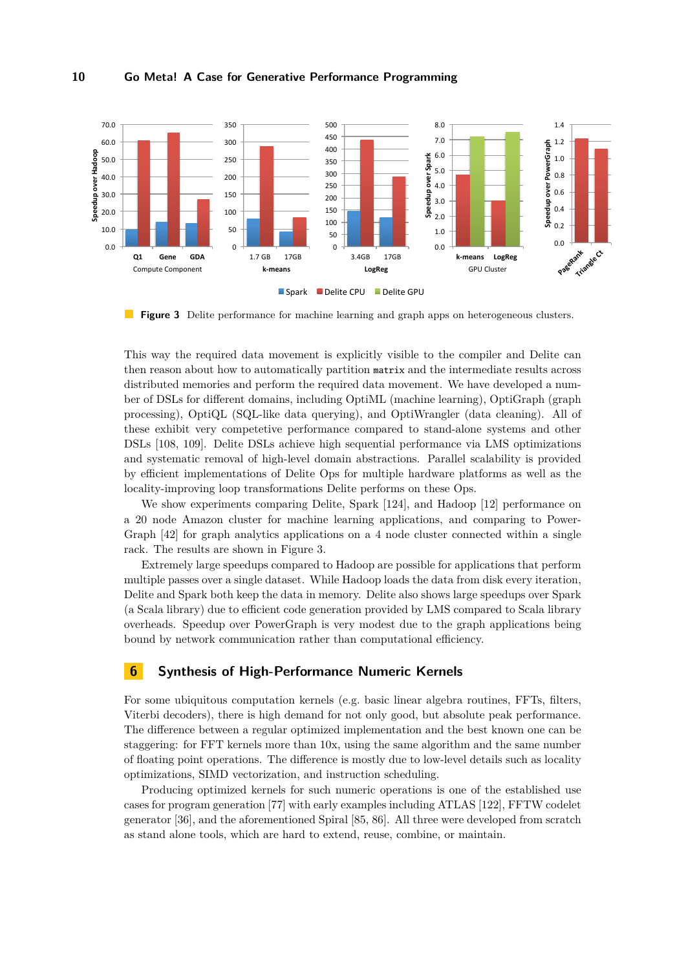<span id="page-9-1"></span>

**Figure 3** Delite performance for machine learning and graph apps on heterogeneous clusters.

This way the required data movement is explicitly visible to the compiler and Delite can then reason about how to automatically partition matrix and the intermediate results across distributed memories and perform the required data movement. We have developed a number of DSLs for different domains, including OptiML (machine learning), OptiGraph (graph processing), OptiQL (SQL-like data querying), and OptiWrangler (data cleaning). All of these exhibit very competetive performance compared to stand-alone systems and other DSLs [\[108,](#page-22-3) [109\]](#page-22-1). Delite DSLs achieve high sequential performance via LMS optimizations and systematic removal of high-level domain abstractions. Parallel scalability is provided by efficient implementations of Delite Ops for multiple hardware platforms as well as the locality-improving loop transformations Delite performs on these Ops.

We show experiments comparing Delite, Spark [\[124\]](#page-23-2), and Hadoop [\[12\]](#page-16-3) performance on a 20 node Amazon cluster for machine learning applications, and comparing to Power-Graph [\[42\]](#page-18-2) for graph analytics applications on a 4 node cluster connected within a single rack. The results are shown in Figure [3.](#page-9-1)

Extremely large speedups compared to Hadoop are possible for applications that perform multiple passes over a single dataset. While Hadoop loads the data from disk every iteration, Delite and Spark both keep the data in memory. Delite also shows large speedups over Spark (a Scala library) due to efficient code generation provided by LMS compared to Scala library overheads. Speedup over PowerGraph is very modest due to the graph applications being bound by network communication rather than computational efficiency.

#### <span id="page-9-0"></span>**6 Synthesis of High-Performance Numeric Kernels**

For some ubiquitous computation kernels (e.g. basic linear algebra routines, FFTs, filters, Viterbi decoders), there is high demand for not only good, but absolute peak performance. The difference between a regular optimized implementation and the best known one can be staggering: for FFT kernels more than 10x, using the same algorithm and the same number of floating point operations. The difference is mostly due to low-level details such as locality optimizations, SIMD vectorization, and instruction scheduling.

Producing optimized kernels for such numeric operations is one of the established use cases for program generation [\[77\]](#page-20-1) with early examples including ATLAS [\[122\]](#page-23-3), FFTW codelet generator [\[36\]](#page-18-3), and the aforementioned Spiral [\[85,](#page-21-1) [86\]](#page-21-2). All three were developed from scratch as stand alone tools, which are hard to extend, reuse, combine, or maintain.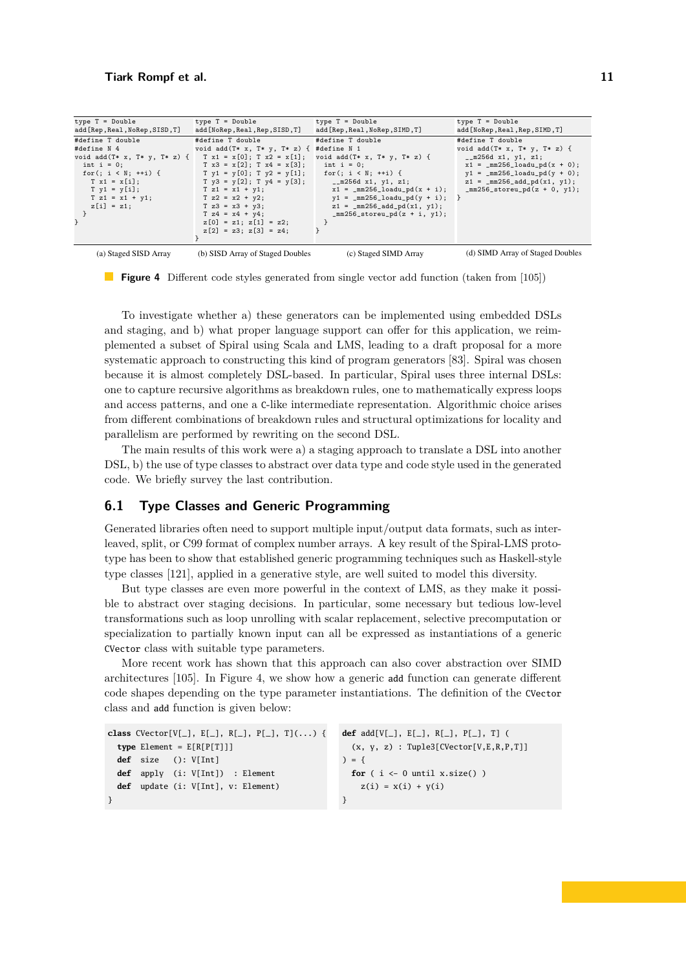<span id="page-10-0"></span>

| $type T = Double$                                        | $type T = Double$                           | $type T = Double$                                     | $type T = Double$                       |
|----------------------------------------------------------|---------------------------------------------|-------------------------------------------------------|-----------------------------------------|
| add [Rep, Real, NoRep, SISD, T]                          | add [NoRep, Real, Rep, SISD, T]             | add [Rep, Real, NoRep, SIMD, T]                       | add [NoRep, Real, Rep, SIMD, T]         |
| #define T double                                         | #define T double                            | #define T double                                      | #define T double                        |
| #define N 4                                              | void add $(T* x, T* y, T* z)$ { #define N 1 |                                                       | void add $(T* x, T* y, T* z)$ {         |
| void add(T* x, T* y, T* z) {   T x1 = x[0]; T x2 = x[1]; |                                             | void add $(T* x, T* y, T* z)$ {                       | $_{-}$ m256d x1, y1, z1;                |
| int $i = 0$ ;                                            | $T x3 = x[2]: T x4 = x[3]:$                 | $int i = 0;$                                          | $x1 = \text{mm256\_loadu\_pd(x + 0)}$ ; |
| for(; $i \le N$ ; ++i) {                                 | $T y1 = y[0]; T y2 = y[1];$                 | for(; $i \lt N$ ; ++i) {                              | $y1 = \text{mm256\_loadu\_pd}(y + 0);$  |
| $T x1 = x[i];$                                           |                                             | $T \ y3 = y[2]; T \ y4 = y[3]; \t 256d \ x1, y1, z1;$ | $z1 = \text{mm256\_add\_pd(x1, y1)};$   |
| $Ty1 = y[i];$                                            | $T z1 = x1 + y1$ ;                          | $x1 = \text{mm256\_loadu\_pd(x + i)};$                | $mm256$ _storeu_pd $(z + 0, y1)$ ;      |
| $T z1 = x1 + y1;$                                        | $T z2 = x2 + y2$ ;                          | $y1 = \text{mm256\_loadu\_pd}(y + i);$                |                                         |
| $z[i] = z1;$                                             | $T z3 = x3 + y3;$                           | $z1 = \text{mm256\_add\_pd(x1, y1)};$                 |                                         |
|                                                          | $T z4 = x4 + y4$ ;                          | $mm256$ _storeu_pd $(z + i, y1);$                     |                                         |
|                                                          | $z[0] = z1; z[1] = z2;$                     |                                                       |                                         |
|                                                          | $z[2] = z3; z[3] = z4;$                     |                                                       |                                         |
|                                                          |                                             |                                                       |                                         |
| (a) Staged SISD Array                                    | (b) SISD Array of Staged Doubles            | (c) Staged SIMD Array                                 | (d) SIMD Array of Staged Doubles        |

**Figure 4** Different code styles generated from single vector add function (taken from [\[105\]](#page-22-4))

To investigate whether a) these generators can be implemented using embedded DSLs and staging, and b) what proper language support can offer for this application, we reimplemented a subset of Spiral using Scala and LMS, leading to a draft proposal for a more systematic approach to constructing this kind of program generators [\[83\]](#page-20-2). Spiral was chosen  $\frac{1}{1}$  and  $\frac{1}{1}$ because it is almost completely DSL-based. In particular, Spiral uses three internal DSLs: one to capture recursive algorithms as breakdown rules, one to mathematically express loops and access patterns, and one a c-like intermediate representatio from different combinations of breakdown r from different combinations of breakdown rules and structural optimizations for locality and and access patterns, and one a  $c$ -like intermediate representation. Algorithmic choice arises  $parallelism$  are performed by rewriting on the second DSL.

Encapsulating staging decisions. FGen heavily utilizes this mech-The main results of this work were a) a staging approach to translate a DSL into another DSL, b) the use of type classes to abstract over data type and code style used in the generated  $\overrightarrow{1}$  include vectorization. With  $\overrightarrow{1}$ code. We briefly survey the last contribution.

#### **6.1 Type Classes and Generic Programming** is performed to fit the SIMD vector length, SIMD vector length, SIMD instantiations are significant and signifi

Generated libraries often need to support multiple input/output data formats, such as intertype has been to show that established generic programming techniques such as Haskell-style plicitly passed to gether with each type  $p$ type classes [\[121\]](#page-23-4), applied in a generative style, are well suited to model this diversity. Generated libraries often need to support multiple input/output data formats, such as interleaved, split, or C99 format of complex number arrays. A key result of the Spiral-LMS prototype has been to show that established generic programming techniques such as Haskell-style

But type classes are even more powerful in the context of LMS, as they make it possible to abstract over staging decisions. In particular, some necessary but tedious low-level transformations such as loop unrolling with scalar replacement, selective precomputation or specialization to partially known input can all be expressed as instantiations of a generic  $\frac{1}{2}$  is accompanied by a type class that absorption  $\frac{1}{2}$  is a type control of  $\frac{1}{2}$ CVector class with suitable type parameters. is ISA independent and it only specializes to a particular ISA, once

More recent work has shown that this approach can also cover abstraction over SIMD architectures [105]. In Figure 4, we show how a generic add function can generate different  $\frac{1}{2}$  according the fine contracts numerical operations for  $\frac{1}{2}$ code shapes depending on the type parameter instantiations. The definition of the CVector class and add function is given below: architectures [\[105\]](#page-22-4). In Figure [4,](#page-10-0) we show how a generic add function can generate different

```
class CVector[V[_], E[_], R[_], P[_], T](...) {
 type Element = E[R[P[T]]]def size (): V[Int]
def apply (i: V[Int]) : Element
 def update (i: V[Int], v: Element)
                                      def add[V[\_], E[\_], R[\_], P[\_], T] (
                                      (v, v, \sigma). Tuple2\lceilCleater\lceilU. F. D. D. T. I.
                                      (x, y, z) : Tuple3[CVector[V,E,R,P,T]]
                                      d = \{for ( i \leftarrow 0 until x.size() )
                                      z(i) = x(i) + y(i)}
                                      ) = {
                                      }
```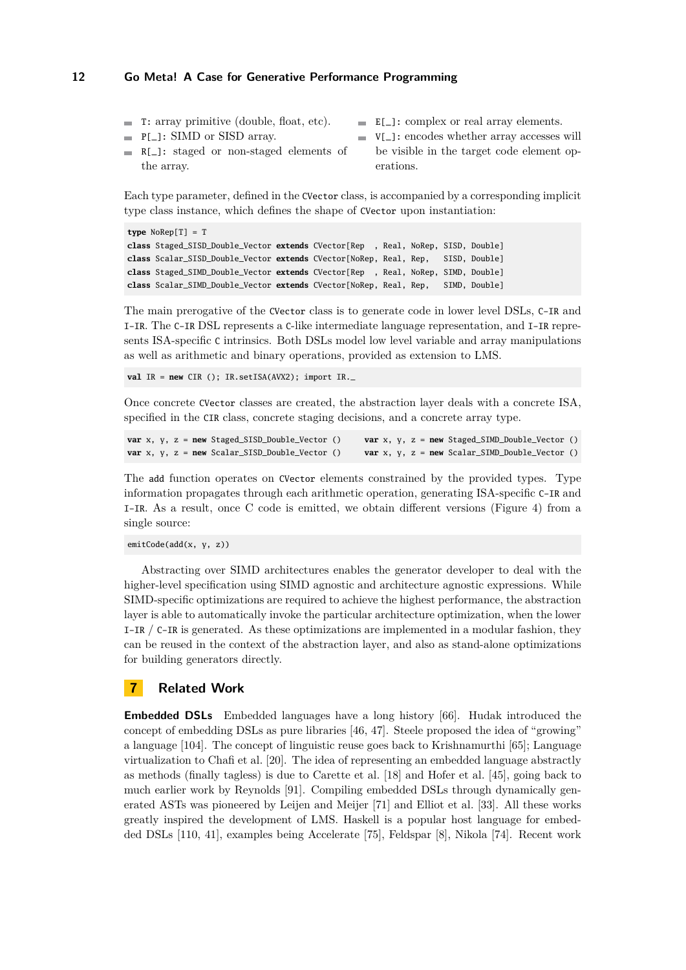- $\blacksquare$  T: array primitive (double, float, etc).
- $\blacksquare$  E[\_]: complex or real array elements.
	- P[\_]: SIMD or SISD array.
- V[\_]: encodes whether array accesses will ÷. be visible in the target code element operations.
- R[\_]: staged or non-staged elements of m. the array.

Each type parameter, defined in the CVector class, is accompanied by a corresponding implicit type class instance, which defines the shape of CVector upon instantiation:

```
type NoRep[T] = T
class Staged_SISD_Double_Vector extends CVector[Rep , Real, NoRep, SISD, Double]
class Scalar_SISD_Double_Vector extends CVector[NoRep, Real, Rep, SISD, Double]
class Staged_SIMD_Double_Vector extends CVector[Rep , Real, NoRep, SIMD, Double]
class Scalar_SIMD_Double_Vector extends CVector[NoRep, Real, Rep, SIMD, Double]
```
The main prerogative of the CVector class is to generate code in lower level DSLs, C-IR and I-IR. The C-IR DSL represents a C-like intermediate language representation, and I-IR represents ISA-specific C intrinsics. Both DSLs model low level variable and array manipulations as well as arithmetic and binary operations, provided as extension to LMS.

**val** IR = **new** CIR (); IR.setISA(AVX2); import IR.\_

Once concrete CVector classes are created, the abstraction layer deals with a concrete ISA, specified in the CIR class, concrete staging decisions, and a concrete array type.

```
var x, y, z = new Staged_SISD_Double_Vector () var x, y, z = new Staged_SIMD_Double_Vector ()
var x, y, z = new Scalar_SISD_Double_Vector () var x, y, z = new Scalar_SIMD_Double_Vector ()
```
The add function operates on CVector elements constrained by the provided types. Type information propagates through each arithmetic operation, generating ISA-specific C-IR and I-IR. As a result, once C code is emitted, we obtain different versions (Figure [4\)](#page-10-0) from a single source:

emitCode(add(x, y, z))

Abstracting over SIMD architectures enables the generator developer to deal with the higher-level specification using SIMD agnostic and architecture agnostic expressions. While SIMD-specific optimizations are required to achieve the highest performance, the abstraction layer is able to automatically invoke the particular architecture optimization, when the lower I-IR / C-IR is generated. As these optimizations are implemented in a modular fashion, they can be reused in the context of the abstraction layer, and also as stand-alone optimizations for building generators directly.

# <span id="page-11-0"></span>**7 Related Work**

**Embedded DSLs** Embedded languages have a long history [\[66\]](#page-19-6). Hudak introduced the concept of embedding DSLs as pure libraries [\[46,](#page-18-4) [47\]](#page-18-5). Steele proposed the idea of "growing" a language [\[104\]](#page-22-5). The concept of linguistic reuse goes back to Krishnamurthi [\[65\]](#page-19-7); Language virtualization to Chafi et al. [\[20\]](#page-17-1). The idea of representing an embedded language abstractly as methods (finally tagless) is due to Carette et al. [\[18\]](#page-17-2) and Hofer et al. [\[45\]](#page-18-6), going back to much earlier work by Reynolds [\[91\]](#page-21-10). Compiling embedded DSLs through dynamically generated ASTs was pioneered by Leijen and Meijer [\[71\]](#page-20-7) and Elliot et al. [\[33\]](#page-17-3). All these works greatly inspired the development of LMS. Haskell is a popular host language for embedded DSLs [\[110,](#page-22-6) [41\]](#page-18-7), examples being Accelerate [\[75\]](#page-20-8), Feldspar [\[8\]](#page-16-4), Nikola [\[74\]](#page-20-9). Recent work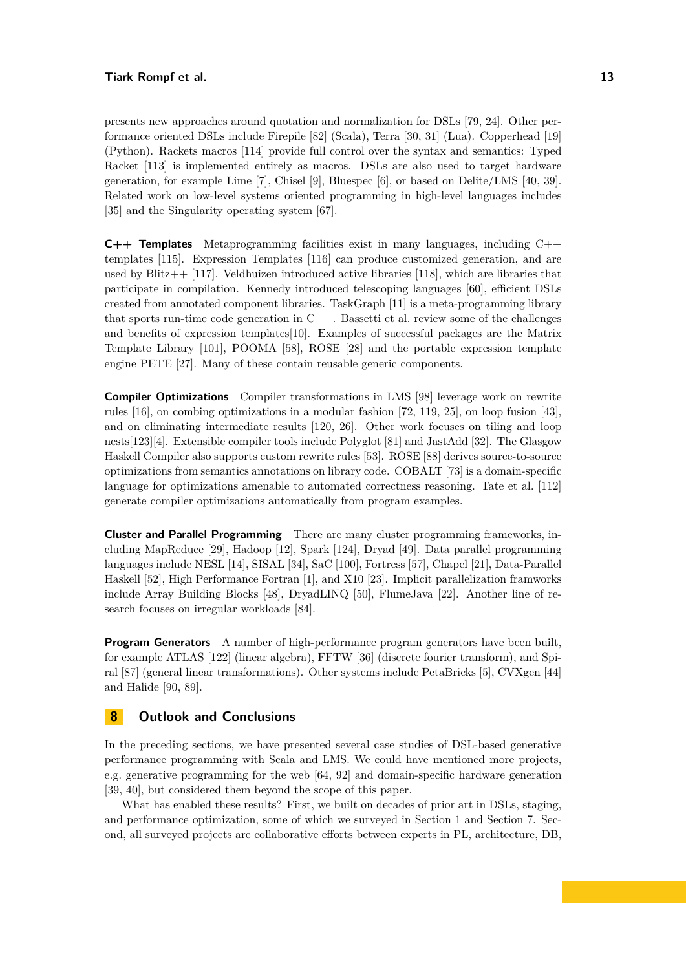#### **Tiark Rompf et al. 13**

presents new approaches around quotation and normalization for DSLs [\[79,](#page-20-10) [24\]](#page-17-4). Other performance oriented DSLs include Firepile [\[82\]](#page-20-11) (Scala), Terra [\[30,](#page-17-5) [31\]](#page-17-6) (Lua). Copperhead [\[19\]](#page-17-7) (Python). Rackets macros [\[114\]](#page-22-7) provide full control over the syntax and semantics: Typed Racket [\[113\]](#page-22-8) is implemented entirely as macros. DSLs are also used to target hardware generation, for example Lime [\[7\]](#page-16-5), Chisel [\[9\]](#page-16-6), Bluespec [\[6\]](#page-16-7), or based on Delite/LMS [\[40,](#page-18-8) [39\]](#page-18-9). Related work on low-level systems oriented programming in high-level languages includes [\[35\]](#page-18-10) and the Singularity operating system [\[67\]](#page-19-8).

**C++ Templates** Metaprogramming facilities exist in many languages, including C++ templates [\[115\]](#page-22-9). Expression Templates [\[116\]](#page-22-10) can produce customized generation, and are used by Blitz $++$  [\[117\]](#page-22-11). Veldhuizen introduced active libraries [\[118\]](#page-22-12), which are libraries that participate in compilation. Kennedy introduced telescoping languages [\[60\]](#page-19-9), efficient DSLs created from annotated component libraries. TaskGraph [\[11\]](#page-16-8) is a meta-programming library that sports run-time code generation in  $C++$ . Bassetti et al. review some of the challenges and benefits of expression templates[\[10\]](#page-16-9). Examples of successful packages are the Matrix Template Library [\[101\]](#page-21-11), POOMA [\[58\]](#page-19-10), ROSE [\[28\]](#page-17-8) and the portable expression template engine PETE [\[27\]](#page-17-9). Many of these contain reusable generic components.

**Compiler Optimizations** Compiler transformations in LMS [\[98\]](#page-21-3) leverage work on rewrite rules [\[16\]](#page-17-10), on combing optimizations in a modular fashion [\[72,](#page-20-12) [119,](#page-22-13) [25\]](#page-17-11), on loop fusion [\[43\]](#page-18-11), and on eliminating intermediate results [\[120,](#page-23-5) [26\]](#page-17-12). Other work focuses on tiling and loop nests[\[123\]](#page-23-6)[\[4\]](#page-16-10). Extensible compiler tools include Polyglot [\[81\]](#page-20-13) and JastAdd [\[32\]](#page-17-13). The Glasgow Haskell Compiler also supports custom rewrite rules [\[53\]](#page-19-11). ROSE [\[88\]](#page-21-12) derives source-to-source optimizations from semantics annotations on library code. COBALT [\[73\]](#page-20-14) is a domain-specific language for optimizations amenable to automated correctness reasoning. Tate et al. [\[112\]](#page-22-14) generate compiler optimizations automatically from program examples.

**Cluster and Parallel Programming** There are many cluster programming frameworks, including MapReduce [\[29\]](#page-17-14), Hadoop [\[12\]](#page-16-3), Spark [\[124\]](#page-23-2), Dryad [\[49\]](#page-18-12). Data parallel programming languages include NESL [\[14\]](#page-16-11), SISAL [\[34\]](#page-18-13), SaC [\[100\]](#page-21-13), Fortress [\[57\]](#page-19-12), Chapel [\[21\]](#page-17-15), Data-Parallel Haskell [\[52\]](#page-19-13), High Performance Fortran [\[1\]](#page-16-12), and X10 [\[23\]](#page-17-16). Implicit parallelization framworks include Array Building Blocks [\[48\]](#page-18-14), DryadLINQ [\[50\]](#page-18-15), FlumeJava [\[22\]](#page-17-17). Another line of research focuses on irregular workloads [\[84\]](#page-20-15).

**Program Generators** A number of high-performance program generators have been built, for example ATLAS [\[122\]](#page-23-3) (linear algebra), FFTW [\[36\]](#page-18-3) (discrete fourier transform), and Spiral [\[87\]](#page-21-14) (general linear transformations). Other systems include PetaBricks [\[5\]](#page-16-13), CVXgen [\[44\]](#page-18-16) and Halide [\[90,](#page-21-4) [89\]](#page-21-5).

# <span id="page-12-0"></span>**8 Outlook and Conclusions**

In the preceding sections, we have presented several case studies of DSL-based generative performance programming with Scala and LMS. We could have mentioned more projects, e.g. generative programming for the web [\[64,](#page-19-14) [92\]](#page-21-15) and domain-specific hardware generation [\[39,](#page-18-9) [40\]](#page-18-8), but considered them beyond the scope of this paper.

What has enabled these results? First, we built on decades of prior art in DSLs, staging, and performance optimization, some of which we surveyed in Section [1](#page-0-0) and Section [7.](#page-11-0) Second, all surveyed projects are collaborative efforts between experts in PL, architecture, DB,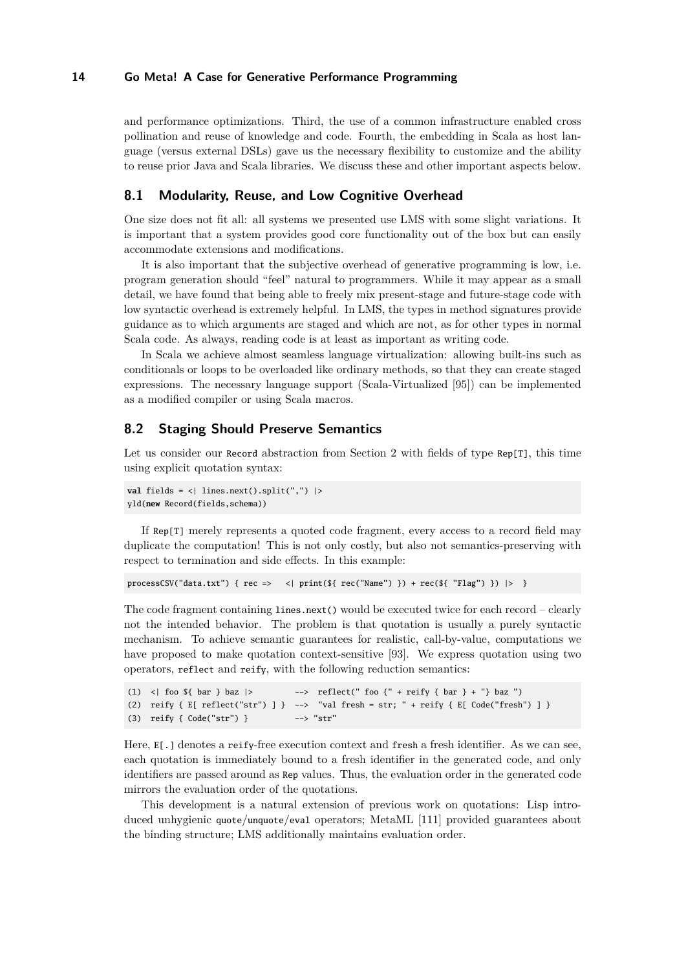and performance optimizations. Third, the use of a common infrastructure enabled cross pollination and reuse of knowledge and code. Fourth, the embedding in Scala as host language (versus external DSLs) gave us the necessary flexibility to customize and the ability to reuse prior Java and Scala libraries. We discuss these and other important aspects below.

#### **8.1 Modularity, Reuse, and Low Cognitive Overhead**

One size does not fit all: all systems we presented use LMS with some slight variations. It is important that a system provides good core functionality out of the box but can easily accommodate extensions and modifications.

It is also important that the subjective overhead of generative programming is low, i.e. program generation should "feel" natural to programmers. While it may appear as a small detail, we have found that being able to freely mix present-stage and future-stage code with low syntactic overhead is extremely helpful. In LMS, the types in method signatures provide guidance as to which arguments are staged and which are not, as for other types in normal Scala code. As always, reading code is at least as important as writing code.

In Scala we achieve almost seamless language virtualization: allowing built-ins such as conditionals or loops to be overloaded like ordinary methods, so that they can create staged expressions. The necessary language support (Scala-Virtualized [\[95\]](#page-21-8)) can be implemented as a modified compiler or using Scala macros.

#### **8.2 Staging Should Preserve Semantics**

Let us consider our Record abstraction from Section 2 with fields of type Rep[T], this time using explicit quotation syntax:

```
val fields = <| lines.next().split(",") |>
yld(new Record(fields,schema))
```
If Rep[T] merely represents a quoted code fragment, every access to a record field may duplicate the computation! This is not only costly, but also not semantics-preserving with respect to termination and side effects. In this example:

```
processCSV("data.txt") { rec => < | print($ rec("Name") } ) + rec($ "Flag") } |> }
```
The code fragment containing lines.next() would be executed twice for each record – clearly not the intended behavior. The problem is that quotation is usually a purely syntactic mechanism. To achieve semantic guarantees for realistic, call-by-value, computations we have proposed to make quotation context-sensitive [\[93\]](#page-21-16). We express quotation using two operators, reflect and reify, with the following reduction semantics:

```
(1) <| foo \{\ bar \} baz |> --> reflect(" foo \{\ + reify \{\ bar \} + "\} baz ")
(2) reify { E[ reflect("str") ] } --> "val fresh = str; " + reify { E[ Code("fresh") ] }
(3) reify { Code("str") } --> "str"
```
Here,  $E[\cdot]$  denotes a reify-free execution context and fresh a fresh identifier. As we can see, each quotation is immediately bound to a fresh identifier in the generated code, and only identifiers are passed around as Rep values. Thus, the evaluation order in the generated code mirrors the evaluation order of the quotations.

This development is a natural extension of previous work on quotations: Lisp introduced unhygienic quote/unquote/eval operators; MetaML [\[111\]](#page-22-0) provided guarantees about the binding structure; LMS additionally maintains evaluation order.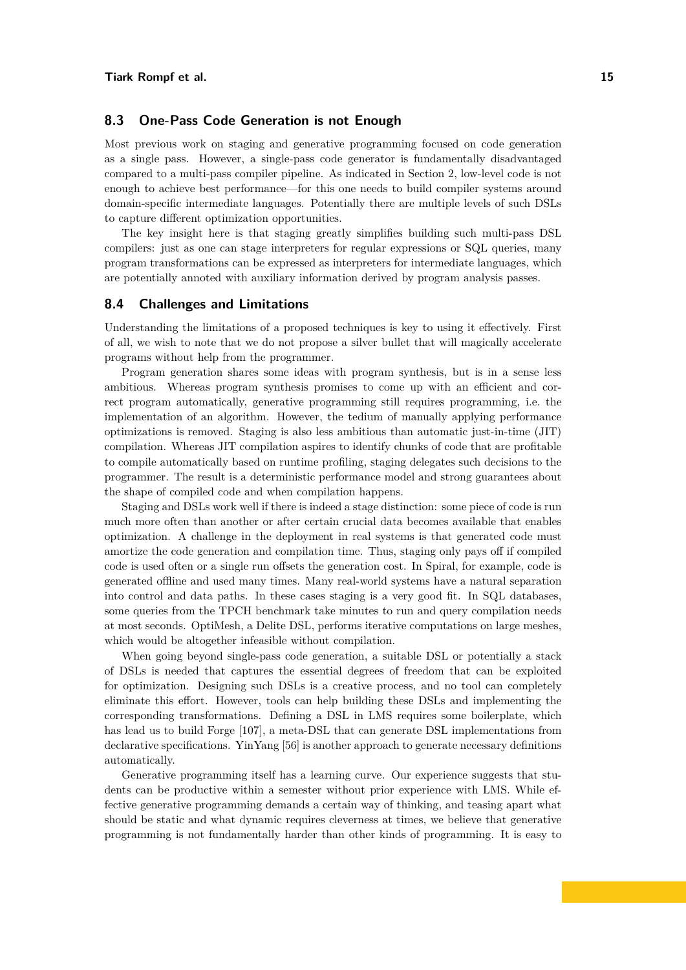## **8.3 One-Pass Code Generation is not Enough**

Most previous work on staging and generative programming focused on code generation as a single pass. However, a single-pass code generator is fundamentally disadvantaged compared to a multi-pass compiler pipeline. As indicated in Section [2,](#page-1-0) low-level code is not enough to achieve best performance—for this one needs to build compiler systems around domain-specific intermediate languages. Potentially there are multiple levels of such DSLs to capture different optimization opportunities.

The key insight here is that staging greatly simplifies building such multi-pass DSL compilers: just as one can stage interpreters for regular expressions or SQL queries, many program transformations can be expressed as interpreters for intermediate languages, which are potentially annoted with auxiliary information derived by program analysis passes.

#### **8.4 Challenges and Limitations**

Understanding the limitations of a proposed techniques is key to using it effectively. First of all, we wish to note that we do not propose a silver bullet that will magically accelerate programs without help from the programmer.

Program generation shares some ideas with program synthesis, but is in a sense less ambitious. Whereas program synthesis promises to come up with an efficient and correct program automatically, generative programming still requires programming, i.e. the implementation of an algorithm. However, the tedium of manually applying performance optimizations is removed. Staging is also less ambitious than automatic just-in-time (JIT) compilation. Whereas JIT compilation aspires to identify chunks of code that are profitable to compile automatically based on runtime profiling, staging delegates such decisions to the programmer. The result is a deterministic performance model and strong guarantees about the shape of compiled code and when compilation happens.

Staging and DSLs work well if there is indeed a stage distinction: some piece of code is run much more often than another or after certain crucial data becomes available that enables optimization. A challenge in the deployment in real systems is that generated code must amortize the code generation and compilation time. Thus, staging only pays off if compiled code is used often or a single run offsets the generation cost. In Spiral, for example, code is generated offline and used many times. Many real-world systems have a natural separation into control and data paths. In these cases staging is a very good fit. In SQL databases, some queries from the TPCH benchmark take minutes to run and query compilation needs at most seconds. OptiMesh, a Delite DSL, performs iterative computations on large meshes, which would be altogether infeasible without compilation.

When going beyond single-pass code generation, a suitable DSL or potentially a stack of DSLs is needed that captures the essential degrees of freedom that can be exploited for optimization. Designing such DSLs is a creative process, and no tool can completely eliminate this effort. However, tools can help building these DSLs and implementing the corresponding transformations. Defining a DSL in LMS requires some boilerplate, which has lead us to build Forge [\[107\]](#page-22-15), a meta-DSL that can generate DSL implementations from declarative specifications. YinYang [\[56\]](#page-19-15) is another approach to generate necessary definitions automatically.

Generative programming itself has a learning curve. Our experience suggests that students can be productive within a semester without prior experience with LMS. While effective generative programming demands a certain way of thinking, and teasing apart what should be static and what dynamic requires cleverness at times, we believe that generative programming is not fundamentally harder than other kinds of programming. It is easy to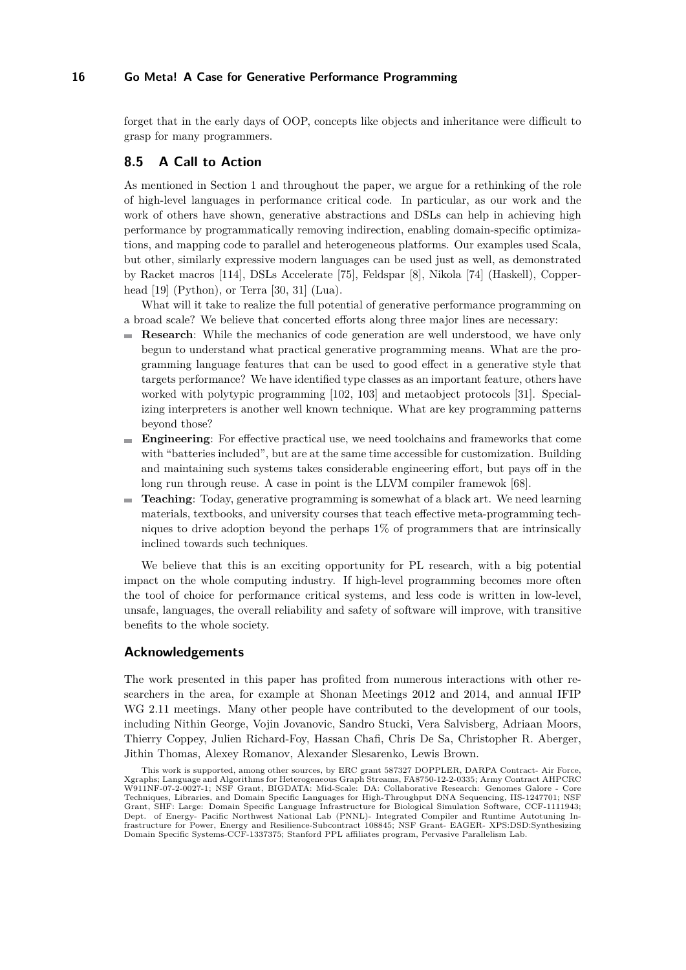forget that in the early days of OOP, concepts like objects and inheritance were difficult to grasp for many programmers.

# **8.5 A Call to Action**

As mentioned in Section [1](#page-0-0) and throughout the paper, we argue for a rethinking of the role of high-level languages in performance critical code. In particular, as our work and the work of others have shown, generative abstractions and DSLs can help in achieving high performance by programmatically removing indirection, enabling domain-specific optimizations, and mapping code to parallel and heterogeneous platforms. Our examples used Scala, but other, similarly expressive modern languages can be used just as well, as demonstrated by Racket macros [\[114\]](#page-22-7), DSLs Accelerate [\[75\]](#page-20-8), Feldspar [\[8\]](#page-16-4), Nikola [\[74\]](#page-20-9) (Haskell), Copperhead [\[19\]](#page-17-7) (Python), or Terra [\[30,](#page-17-5) [31\]](#page-17-6) (Lua).

What will it take to realize the full potential of generative performance programming on a broad scale? We believe that concerted efforts along three major lines are necessary:

- **Research**: While the mechanics of code generation are well understood, we have only begun to understand what practical generative programming means. What are the programming language features that can be used to good effect in a generative style that targets performance? We have identified type classes as an important feature, others have worked with polytypic programming [\[102,](#page-22-16) [103\]](#page-22-17) and metaobject protocols [\[31\]](#page-17-6). Specializing interpreters is another well known technique. What are key programming patterns beyond those?
- **Engineering**: For effective practical use, we need toolchains and frameworks that come  $\sim$ with "batteries included", but are at the same time accessible for customization. Building and maintaining such systems takes considerable engineering effort, but pays off in the long run through reuse. A case in point is the LLVM compiler framewok [\[68\]](#page-20-16).
- **Teaching:** Today, generative programming is somewhat of a black art. We need learning materials, textbooks, and university courses that teach effective meta-programming techniques to drive adoption beyond the perhaps 1% of programmers that are intrinsically inclined towards such techniques.

We believe that this is an exciting opportunity for PL research, with a big potential impact on the whole computing industry. If high-level programming becomes more often the tool of choice for performance critical systems, and less code is written in low-level, unsafe, languages, the overall reliability and safety of software will improve, with transitive benefits to the whole society.

#### **Acknowledgements**

The work presented in this paper has profited from numerous interactions with other researchers in the area, for example at Shonan Meetings 2012 and 2014, and annual IFIP WG 2.11 meetings. Many other people have contributed to the development of our tools, including Nithin George, Vojin Jovanovic, Sandro Stucki, Vera Salvisberg, Adriaan Moors, Thierry Coppey, Julien Richard-Foy, Hassan Chafi, Chris De Sa, Christopher R. Aberger, Jithin Thomas, Alexey Romanov, Alexander Slesarenko, Lewis Brown.

This work is supported, among other sources, by ERC grant 587327 DOPPLER, DARPA Contract- Air Force, Xgraphs; Language and Algorithms for Heterogeneous Graph Streams, FA8750-12-2-0335; Army Contract AHPCRC W911NF-07-2-0027-1; NSF Grant, BIGDATA: Mid-Scale: DA: Collaborative Research: Genomes Galore - Core Techniques, Libraries, and Domain Specific Languages for High-Throughput DNA Sequencing, IIS-1247701; NSF Grant, SHF: Large: Domain Specific Language Infrastructure for Biological Simulation Software, CCF-1111943; Dept. of Energy- Pacific Northwest National Lab (PNNL)- Integrated Compiler and Runtime Autotuning Infrastructure for Power, Energy and Resilience-Subcontract 108845; NSF Grant- EAGER- XPS:DSD:Synthesizing Domain Specific Systems-CCF-1337375; Stanford PPL affiliates program, Pervasive Parallelism Lab.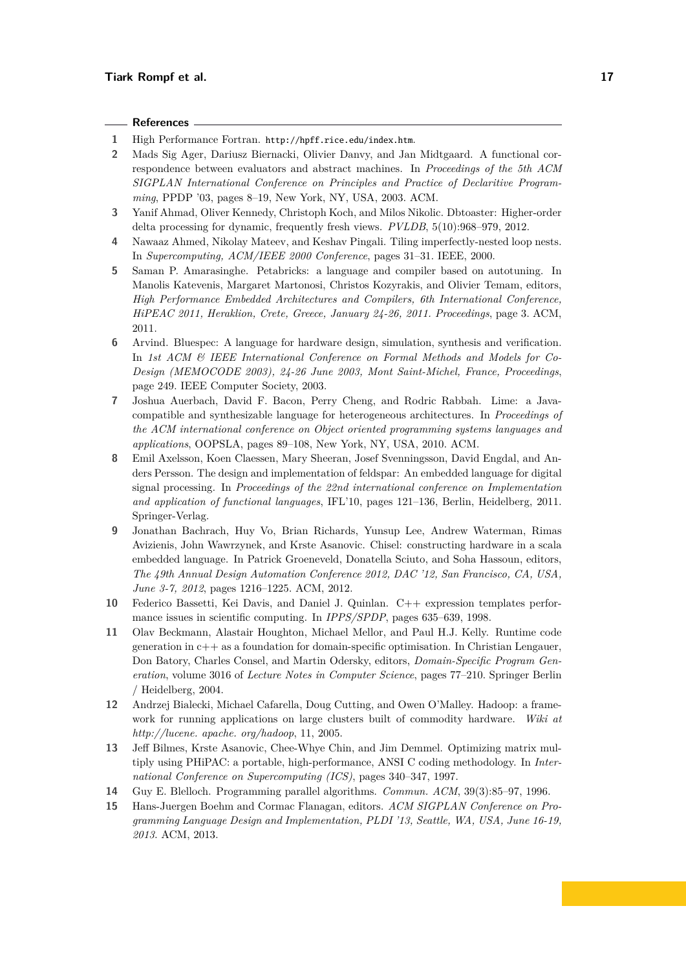#### **References**

- <span id="page-16-12"></span>**1** High Performance Fortran. <http://hpff.rice.edu/index.htm>.
- <span id="page-16-1"></span>**2** Mads Sig Ager, Dariusz Biernacki, Olivier Danvy, and Jan Midtgaard. A functional correspondence between evaluators and abstract machines. In *Proceedings of the 5th ACM SIGPLAN International Conference on Principles and Practice of Declaritive Programming*, PPDP '03, pages 8–19, New York, NY, USA, 2003. ACM.
- <span id="page-16-2"></span>**3** Yanif Ahmad, Oliver Kennedy, Christoph Koch, and Milos Nikolic. Dbtoaster: Higher-order delta processing for dynamic, frequently fresh views. *PVLDB*, 5(10):968–979, 2012.
- <span id="page-16-10"></span>**4** Nawaaz Ahmed, Nikolay Mateev, and Keshav Pingali. Tiling imperfectly-nested loop nests. In *Supercomputing, ACM/IEEE 2000 Conference*, pages 31–31. IEEE, 2000.
- <span id="page-16-13"></span>**5** Saman P. Amarasinghe. Petabricks: a language and compiler based on autotuning. In Manolis Katevenis, Margaret Martonosi, Christos Kozyrakis, and Olivier Temam, editors, *High Performance Embedded Architectures and Compilers, 6th International Conference, HiPEAC 2011, Heraklion, Crete, Greece, January 24-26, 2011. Proceedings*, page 3. ACM, 2011.
- <span id="page-16-7"></span>**6** Arvind. Bluespec: A language for hardware design, simulation, synthesis and verification. In *1st ACM & IEEE International Conference on Formal Methods and Models for Co-Design (MEMOCODE 2003), 24-26 June 2003, Mont Saint-Michel, France, Proceedings*, page 249. IEEE Computer Society, 2003.
- <span id="page-16-5"></span>**7** Joshua Auerbach, David F. Bacon, Perry Cheng, and Rodric Rabbah. Lime: a Javacompatible and synthesizable language for heterogeneous architectures. In *Proceedings of the ACM international conference on Object oriented programming systems languages and applications*, OOPSLA, pages 89–108, New York, NY, USA, 2010. ACM.
- <span id="page-16-4"></span>**8** Emil Axelsson, Koen Claessen, Mary Sheeran, Josef Svenningsson, David Engdal, and Anders Persson. The design and implementation of feldspar: An embedded language for digital signal processing. In *Proceedings of the 22nd international conference on Implementation and application of functional languages*, IFL'10, pages 121–136, Berlin, Heidelberg, 2011. Springer-Verlag.
- <span id="page-16-6"></span>**9** Jonathan Bachrach, Huy Vo, Brian Richards, Yunsup Lee, Andrew Waterman, Rimas Avizienis, John Wawrzynek, and Krste Asanovic. Chisel: constructing hardware in a scala embedded language. In Patrick Groeneveld, Donatella Sciuto, and Soha Hassoun, editors, *The 49th Annual Design Automation Conference 2012, DAC '12, San Francisco, CA, USA, June 3-7, 2012*, pages 1216–1225. ACM, 2012.
- <span id="page-16-9"></span>**10** Federico Bassetti, Kei Davis, and Daniel J. Quinlan. C++ expression templates performance issues in scientific computing. In *IPPS/SPDP*, pages 635–639, 1998.
- <span id="page-16-8"></span>**11** Olav Beckmann, Alastair Houghton, Michael Mellor, and Paul H.J. Kelly. Runtime code generation in  $c++$  as a foundation for domain-specific optimisation. In Christian Lengauer, Don Batory, Charles Consel, and Martin Odersky, editors, *Domain-Specific Program Generation*, volume 3016 of *Lecture Notes in Computer Science*, pages 77–210. Springer Berlin / Heidelberg, 2004.
- <span id="page-16-3"></span>**12** Andrzej Bialecki, Michael Cafarella, Doug Cutting, and Owen O'Malley. Hadoop: a framework for running applications on large clusters built of commodity hardware. *Wiki at http://lucene. apache. org/hadoop*, 11, 2005.
- <span id="page-16-0"></span>**13** Jeff Bilmes, Krste Asanovic, Chee-Whye Chin, and Jim Demmel. Optimizing matrix multiply using PHiPAC: a portable, high-performance, ANSI C coding methodology. In *International Conference on Supercomputing (ICS)*, pages 340–347, 1997.
- <span id="page-16-11"></span>**14** Guy E. Blelloch. Programming parallel algorithms. *Commun. ACM*, 39(3):85–97, 1996.
- <span id="page-16-14"></span>**15** Hans-Juergen Boehm and Cormac Flanagan, editors. *ACM SIGPLAN Conference on Programming Language Design and Implementation, PLDI '13, Seattle, WA, USA, June 16-19, 2013*. ACM, 2013.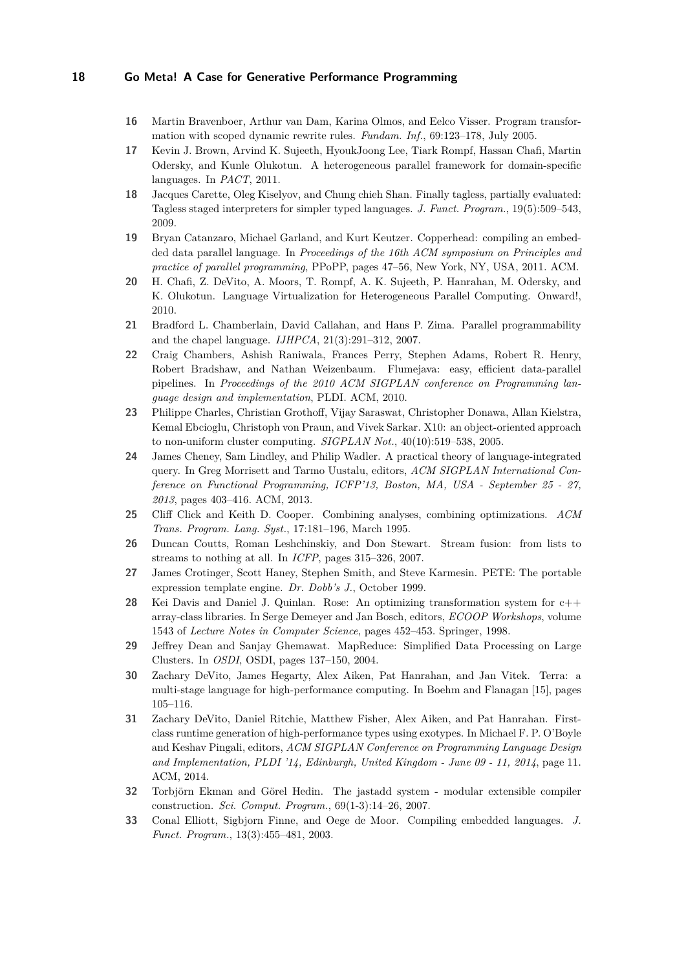- <span id="page-17-10"></span>**16** Martin Bravenboer, Arthur van Dam, Karina Olmos, and Eelco Visser. Program transformation with scoped dynamic rewrite rules. *Fundam. Inf.*, 69:123–178, July 2005.
- <span id="page-17-0"></span>**17** Kevin J. Brown, Arvind K. Sujeeth, HyoukJoong Lee, Tiark Rompf, Hassan Chafi, Martin Odersky, and Kunle Olukotun. A heterogeneous parallel framework for domain-specific languages. In *PACT*, 2011.
- <span id="page-17-2"></span>**18** Jacques Carette, Oleg Kiselyov, and Chung chieh Shan. Finally tagless, partially evaluated: Tagless staged interpreters for simpler typed languages. *J. Funct. Program.*, 19(5):509–543, 2009.
- <span id="page-17-7"></span>**19** Bryan Catanzaro, Michael Garland, and Kurt Keutzer. Copperhead: compiling an embedded data parallel language. In *Proceedings of the 16th ACM symposium on Principles and practice of parallel programming*, PPoPP, pages 47–56, New York, NY, USA, 2011. ACM.
- <span id="page-17-1"></span>**20** H. Chafi, Z. DeVito, A. Moors, T. Rompf, A. K. Sujeeth, P. Hanrahan, M. Odersky, and K. Olukotun. Language Virtualization for Heterogeneous Parallel Computing. Onward!, 2010.
- <span id="page-17-15"></span>**21** Bradford L. Chamberlain, David Callahan, and Hans P. Zima. Parallel programmability and the chapel language. *IJHPCA*, 21(3):291–312, 2007.
- <span id="page-17-17"></span>**22** Craig Chambers, Ashish Raniwala, Frances Perry, Stephen Adams, Robert R. Henry, Robert Bradshaw, and Nathan Weizenbaum. Flumejava: easy, efficient data-parallel pipelines. In *Proceedings of the 2010 ACM SIGPLAN conference on Programming language design and implementation*, PLDI. ACM, 2010.
- <span id="page-17-16"></span>**23** Philippe Charles, Christian Grothoff, Vijay Saraswat, Christopher Donawa, Allan Kielstra, Kemal Ebcioglu, Christoph von Praun, and Vivek Sarkar. X10: an object-oriented approach to non-uniform cluster computing. *SIGPLAN Not.*, 40(10):519–538, 2005.
- <span id="page-17-4"></span>**24** James Cheney, Sam Lindley, and Philip Wadler. A practical theory of language-integrated query. In Greg Morrisett and Tarmo Uustalu, editors, *ACM SIGPLAN International Conference on Functional Programming, ICFP'13, Boston, MA, USA - September 25 - 27, 2013*, pages 403–416. ACM, 2013.
- <span id="page-17-11"></span>**25** Cliff Click and Keith D. Cooper. Combining analyses, combining optimizations. *ACM Trans. Program. Lang. Syst.*, 17:181–196, March 1995.
- <span id="page-17-12"></span>**26** Duncan Coutts, Roman Leshchinskiy, and Don Stewart. Stream fusion: from lists to streams to nothing at all. In *ICFP*, pages 315–326, 2007.
- <span id="page-17-9"></span>**27** James Crotinger, Scott Haney, Stephen Smith, and Steve Karmesin. PETE: The portable expression template engine. *Dr. Dobb's J.*, October 1999.
- <span id="page-17-8"></span>**28** Kei Davis and Daniel J. Quinlan. Rose: An optimizing transformation system for c++ array-class libraries. In Serge Demeyer and Jan Bosch, editors, *ECOOP Workshops*, volume 1543 of *Lecture Notes in Computer Science*, pages 452–453. Springer, 1998.
- <span id="page-17-14"></span>**29** Jeffrey Dean and Sanjay Ghemawat. MapReduce: Simplified Data Processing on Large Clusters. In *OSDI*, OSDI, pages 137–150, 2004.
- <span id="page-17-5"></span>**30** Zachary DeVito, James Hegarty, Alex Aiken, Pat Hanrahan, and Jan Vitek. Terra: a multi-stage language for high-performance computing. In Boehm and Flanagan [\[15\]](#page-16-14), pages 105–116.
- <span id="page-17-6"></span>**31** Zachary DeVito, Daniel Ritchie, Matthew Fisher, Alex Aiken, and Pat Hanrahan. Firstclass runtime generation of high-performance types using exotypes. In Michael F. P. O'Boyle and Keshav Pingali, editors, *ACM SIGPLAN Conference on Programming Language Design and Implementation, PLDI '14, Edinburgh, United Kingdom - June 09 - 11, 2014*, page 11. ACM, 2014.
- <span id="page-17-13"></span>**32** Torbjörn Ekman and Görel Hedin. The jastadd system - modular extensible compiler construction. *Sci. Comput. Program.*, 69(1-3):14–26, 2007.
- <span id="page-17-3"></span>**33** Conal Elliott, Sigbjorn Finne, and Oege de Moor. Compiling embedded languages. *J. Funct. Program.*, 13(3):455–481, 2003.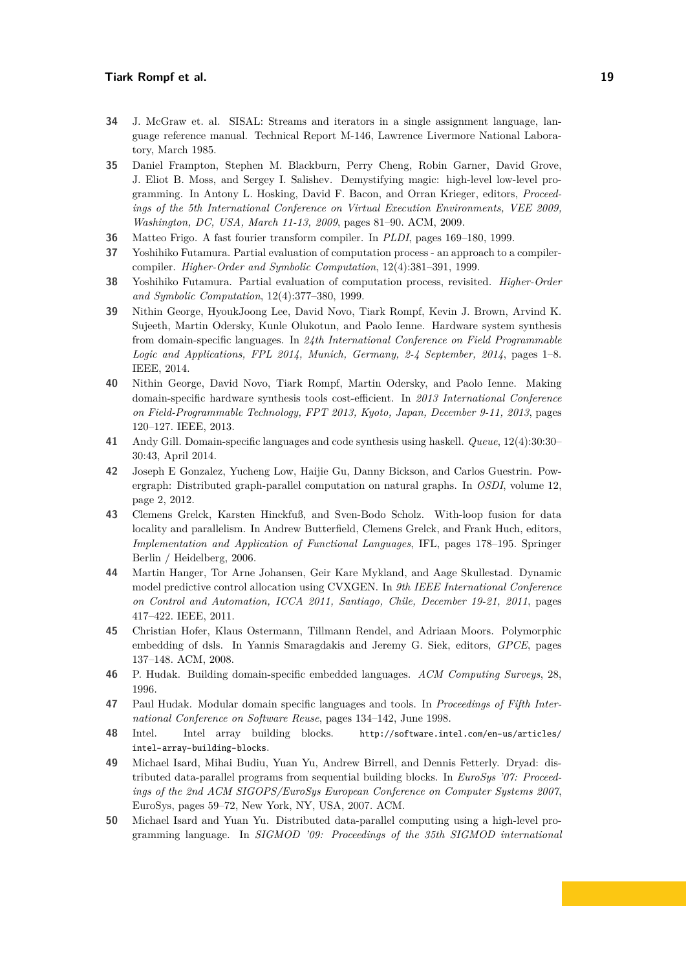#### **Tiark Rompf et al. 19**

- <span id="page-18-13"></span>**34** J. McGraw et. al. SISAL: Streams and iterators in a single assignment language, language reference manual. Technical Report M-146, Lawrence Livermore National Laboratory, March 1985.
- <span id="page-18-10"></span>**35** Daniel Frampton, Stephen M. Blackburn, Perry Cheng, Robin Garner, David Grove, J. Eliot B. Moss, and Sergey I. Salishev. Demystifying magic: high-level low-level programming. In Antony L. Hosking, David F. Bacon, and Orran Krieger, editors, *Proceedings of the 5th International Conference on Virtual Execution Environments, VEE 2009, Washington, DC, USA, March 11-13, 2009*, pages 81–90. ACM, 2009.
- <span id="page-18-3"></span>**36** Matteo Frigo. A fast fourier transform compiler. In *PLDI*, pages 169–180, 1999.
- <span id="page-18-0"></span>**37** Yoshihiko Futamura. Partial evaluation of computation process - an approach to a compilercompiler. *Higher-Order and Symbolic Computation*, 12(4):381–391, 1999.
- <span id="page-18-1"></span>**38** Yoshihiko Futamura. Partial evaluation of computation process, revisited. *Higher-Order and Symbolic Computation*, 12(4):377–380, 1999.
- <span id="page-18-9"></span>**39** Nithin George, HyoukJoong Lee, David Novo, Tiark Rompf, Kevin J. Brown, Arvind K. Sujeeth, Martin Odersky, Kunle Olukotun, and Paolo Ienne. Hardware system synthesis from domain-specific languages. In *24th International Conference on Field Programmable Logic and Applications, FPL 2014, Munich, Germany, 2-4 September, 2014*, pages 1–8. IEEE, 2014.
- <span id="page-18-8"></span>**40** Nithin George, David Novo, Tiark Rompf, Martin Odersky, and Paolo Ienne. Making domain-specific hardware synthesis tools cost-efficient. In *2013 International Conference on Field-Programmable Technology, FPT 2013, Kyoto, Japan, December 9-11, 2013*, pages 120–127. IEEE, 2013.
- <span id="page-18-7"></span>**41** Andy Gill. Domain-specific languages and code synthesis using haskell. *Queue*, 12(4):30:30– 30:43, April 2014.
- <span id="page-18-2"></span>**42** Joseph E Gonzalez, Yucheng Low, Haijie Gu, Danny Bickson, and Carlos Guestrin. Powergraph: Distributed graph-parallel computation on natural graphs. In *OSDI*, volume 12, page 2, 2012.
- <span id="page-18-11"></span>**43** Clemens Grelck, Karsten Hinckfuß, and Sven-Bodo Scholz. With-loop fusion for data locality and parallelism. In Andrew Butterfield, Clemens Grelck, and Frank Huch, editors, *Implementation and Application of Functional Languages*, IFL, pages 178–195. Springer Berlin / Heidelberg, 2006.
- <span id="page-18-16"></span>**44** Martin Hanger, Tor Arne Johansen, Geir Kare Mykland, and Aage Skullestad. Dynamic model predictive control allocation using CVXGEN. In *9th IEEE International Conference on Control and Automation, ICCA 2011, Santiago, Chile, December 19-21, 2011*, pages 417–422. IEEE, 2011.
- <span id="page-18-6"></span>**45** Christian Hofer, Klaus Ostermann, Tillmann Rendel, and Adriaan Moors. Polymorphic embedding of dsls. In Yannis Smaragdakis and Jeremy G. Siek, editors, *GPCE*, pages 137–148. ACM, 2008.
- <span id="page-18-4"></span>**46** P. Hudak. Building domain-specific embedded languages. *ACM Computing Surveys*, 28, 1996.
- <span id="page-18-5"></span>**47** Paul Hudak. Modular domain specific languages and tools. In *Proceedings of Fifth International Conference on Software Reuse*, pages 134–142, June 1998.
- <span id="page-18-14"></span>**48** Intel. Intel array building blocks. [http://software.intel.com/en-us/articles/](http://software.intel.com/en-us/articles/intel-array-building-blocks) [intel-array-building-blocks](http://software.intel.com/en-us/articles/intel-array-building-blocks).
- <span id="page-18-12"></span>**49** Michael Isard, Mihai Budiu, Yuan Yu, Andrew Birrell, and Dennis Fetterly. Dryad: distributed data-parallel programs from sequential building blocks. In *EuroSys '07: Proceedings of the 2nd ACM SIGOPS/EuroSys European Conference on Computer Systems 2007*, EuroSys, pages 59–72, New York, NY, USA, 2007. ACM.
- <span id="page-18-15"></span>**50** Michael Isard and Yuan Yu. Distributed data-parallel computing using a high-level programming language. In *SIGMOD '09: Proceedings of the 35th SIGMOD international*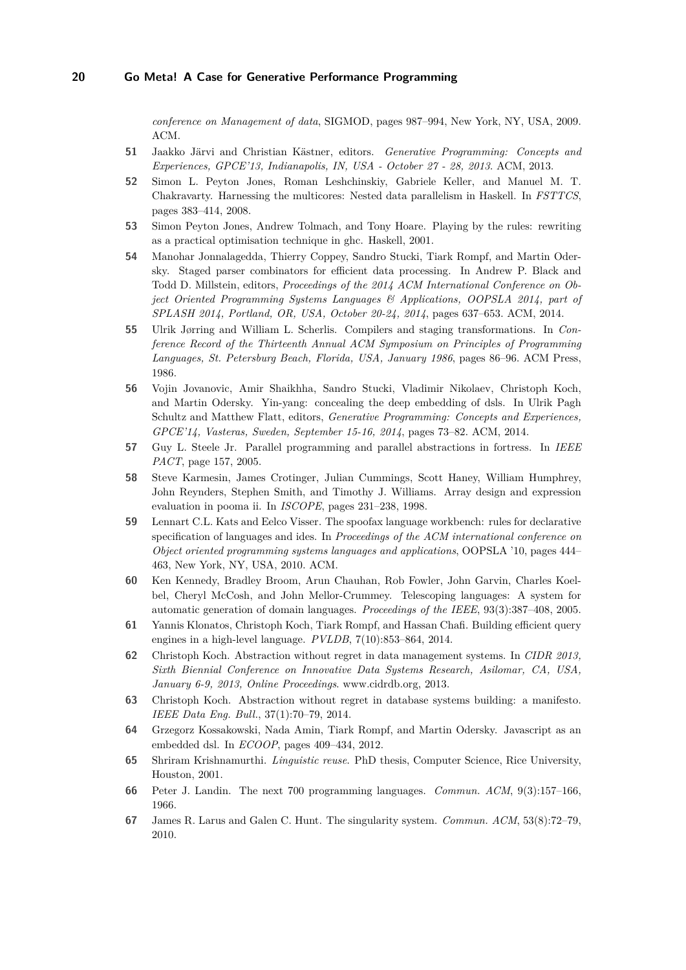*conference on Management of data*, SIGMOD, pages 987–994, New York, NY, USA, 2009. ACM.

- <span id="page-19-16"></span>**51** Jaakko Järvi and Christian Kästner, editors. *Generative Programming: Concepts and Experiences, GPCE'13, Indianapolis, IN, USA - October 27 - 28, 2013*. ACM, 2013.
- <span id="page-19-13"></span>**52** Simon L. Peyton Jones, Roman Leshchinskiy, Gabriele Keller, and Manuel M. T. Chakravarty. Harnessing the multicores: Nested data parallelism in Haskell. In *FSTTCS*, pages 383–414, 2008.
- <span id="page-19-11"></span>**53** Simon Peyton Jones, Andrew Tolmach, and Tony Hoare. Playing by the rules: rewriting as a practical optimisation technique in ghc. Haskell, 2001.
- <span id="page-19-5"></span>**54** Manohar Jonnalagedda, Thierry Coppey, Sandro Stucki, Tiark Rompf, and Martin Odersky. Staged parser combinators for efficient data processing. In Andrew P. Black and Todd D. Millstein, editors, *Proceedings of the 2014 ACM International Conference on Object Oriented Programming Systems Languages & Applications, OOPSLA 2014, part of SPLASH 2014, Portland, OR, USA, October 20-24, 2014*, pages 637–653. ACM, 2014.
- <span id="page-19-0"></span>**55** Ulrik Jørring and William L. Scherlis. Compilers and staging transformations. In *Conference Record of the Thirteenth Annual ACM Symposium on Principles of Programming Languages, St. Petersburg Beach, Florida, USA, January 1986*, pages 86–96. ACM Press, 1986.
- <span id="page-19-15"></span>**56** Vojin Jovanovic, Amir Shaikhha, Sandro Stucki, Vladimir Nikolaev, Christoph Koch, and Martin Odersky. Yin-yang: concealing the deep embedding of dsls. In Ulrik Pagh Schultz and Matthew Flatt, editors, *Generative Programming: Concepts and Experiences, GPCE'14, Vasteras, Sweden, September 15-16, 2014*, pages 73–82. ACM, 2014.
- <span id="page-19-12"></span>**57** Guy L. Steele Jr. Parallel programming and parallel abstractions in fortress. In *IEEE PACT*, page 157, 2005.
- <span id="page-19-10"></span>**58** Steve Karmesin, James Crotinger, Julian Cummings, Scott Haney, William Humphrey, John Reynders, Stephen Smith, and Timothy J. Williams. Array design and expression evaluation in pooma ii. In *ISCOPE*, pages 231–238, 1998.
- <span id="page-19-1"></span>**59** Lennart C.L. Kats and Eelco Visser. The spoofax language workbench: rules for declarative specification of languages and ides. In *Proceedings of the ACM international conference on Object oriented programming systems languages and applications*, OOPSLA '10, pages 444– 463, New York, NY, USA, 2010. ACM.
- <span id="page-19-9"></span>**60** Ken Kennedy, Bradley Broom, Arun Chauhan, Rob Fowler, John Garvin, Charles Koelbel, Cheryl McCosh, and John Mellor-Crummey. Telescoping languages: A system for automatic generation of domain languages. *Proceedings of the IEEE*, 93(3):387–408, 2005.
- <span id="page-19-4"></span>**61** Yannis Klonatos, Christoph Koch, Tiark Rompf, and Hassan Chafi. Building efficient query engines in a high-level language. *PVLDB*, 7(10):853–864, 2014.
- <span id="page-19-3"></span>**62** Christoph Koch. Abstraction without regret in data management systems. In *CIDR 2013, Sixth Biennial Conference on Innovative Data Systems Research, Asilomar, CA, USA, January 6-9, 2013, Online Proceedings*. www.cidrdb.org, 2013.
- <span id="page-19-2"></span>**63** Christoph Koch. Abstraction without regret in database systems building: a manifesto. *IEEE Data Eng. Bull.*, 37(1):70–79, 2014.
- <span id="page-19-14"></span>**64** Grzegorz Kossakowski, Nada Amin, Tiark Rompf, and Martin Odersky. Javascript as an embedded dsl. In *ECOOP*, pages 409–434, 2012.
- <span id="page-19-7"></span>**65** Shriram Krishnamurthi. *Linguistic reuse*. PhD thesis, Computer Science, Rice University, Houston, 2001.
- <span id="page-19-6"></span>**66** Peter J. Landin. The next 700 programming languages. *Commun. ACM*, 9(3):157–166, 1966.
- <span id="page-19-8"></span>**67** James R. Larus and Galen C. Hunt. The singularity system. *Commun. ACM*, 53(8):72–79, 2010.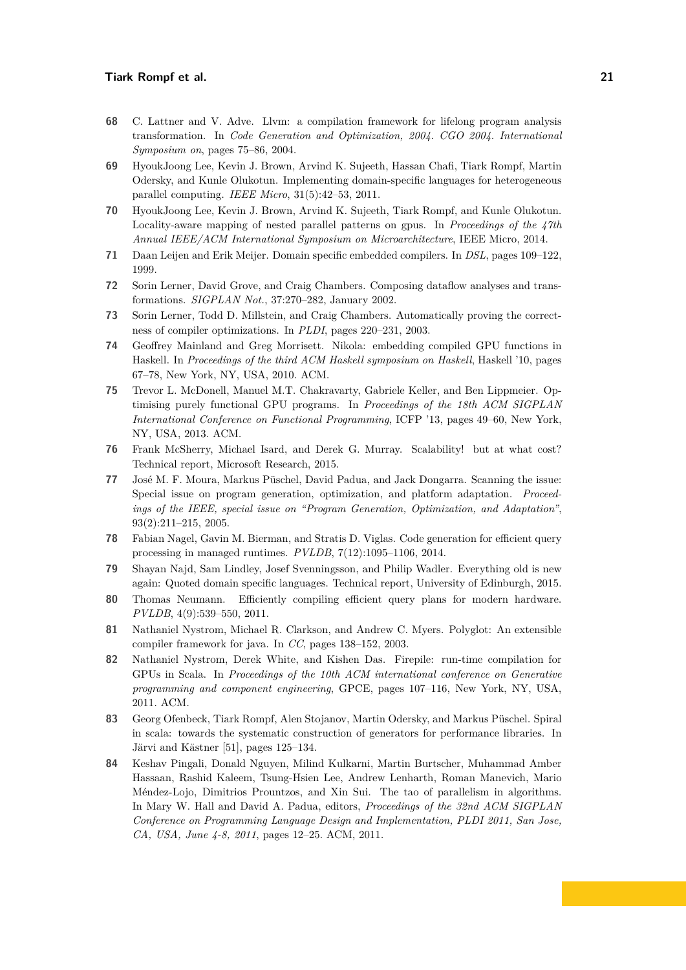- <span id="page-20-16"></span>**68** C. Lattner and V. Adve. Llvm: a compilation framework for lifelong program analysis transformation. In *Code Generation and Optimization, 2004. CGO 2004. International Symposium on*, pages 75–86, 2004.
- <span id="page-20-5"></span>**69** HyoukJoong Lee, Kevin J. Brown, Arvind K. Sujeeth, Hassan Chafi, Tiark Rompf, Martin Odersky, and Kunle Olukotun. Implementing domain-specific languages for heterogeneous parallel computing. *IEEE Micro*, 31(5):42–53, 2011.
- <span id="page-20-6"></span>**70** HyoukJoong Lee, Kevin J. Brown, Arvind K. Sujeeth, Tiark Rompf, and Kunle Olukotun. Locality-aware mapping of nested parallel patterns on gpus. In *Proceedings of the 47th Annual IEEE/ACM International Symposium on Microarchitecture*, IEEE Micro, 2014.
- <span id="page-20-7"></span>**71** Daan Leijen and Erik Meijer. Domain specific embedded compilers. In *DSL*, pages 109–122, 1999.
- <span id="page-20-12"></span>**72** Sorin Lerner, David Grove, and Craig Chambers. Composing dataflow analyses and transformations. *SIGPLAN Not.*, 37:270–282, January 2002.
- <span id="page-20-14"></span>**73** Sorin Lerner, Todd D. Millstein, and Craig Chambers. Automatically proving the correctness of compiler optimizations. In *PLDI*, pages 220–231, 2003.
- <span id="page-20-9"></span>**74** Geoffrey Mainland and Greg Morrisett. Nikola: embedding compiled GPU functions in Haskell. In *Proceedings of the third ACM Haskell symposium on Haskell*, Haskell '10, pages 67–78, New York, NY, USA, 2010. ACM.
- <span id="page-20-8"></span>**75** Trevor L. McDonell, Manuel M.T. Chakravarty, Gabriele Keller, and Ben Lippmeier. Optimising purely functional GPU programs. In *Proceedings of the 18th ACM SIGPLAN International Conference on Functional Programming*, ICFP '13, pages 49–60, New York, NY, USA, 2013. ACM.
- <span id="page-20-0"></span>**76** Frank McSherry, Michael Isard, and Derek G. Murray. Scalability! but at what cost? Technical report, Microsoft Research, 2015.
- <span id="page-20-1"></span>**77** José M. F. Moura, Markus Püschel, David Padua, and Jack Dongarra. Scanning the issue: Special issue on program generation, optimization, and platform adaptation. *Proceedings of the IEEE, special issue on "Program Generation, Optimization, and Adaptation"*, 93(2):211–215, 2005.
- <span id="page-20-4"></span>**78** Fabian Nagel, Gavin M. Bierman, and Stratis D. Viglas. Code generation for efficient query processing in managed runtimes. *PVLDB*, 7(12):1095–1106, 2014.
- <span id="page-20-10"></span>**79** Shayan Najd, Sam Lindley, Josef Svenningsson, and Philip Wadler. Everything old is new again: Quoted domain specific languages. Technical report, University of Edinburgh, 2015.
- <span id="page-20-3"></span>**80** Thomas Neumann. Efficiently compiling efficient query plans for modern hardware. *PVLDB*, 4(9):539–550, 2011.
- <span id="page-20-13"></span>**81** Nathaniel Nystrom, Michael R. Clarkson, and Andrew C. Myers. Polyglot: An extensible compiler framework for java. In *CC*, pages 138–152, 2003.
- <span id="page-20-11"></span>**82** Nathaniel Nystrom, Derek White, and Kishen Das. Firepile: run-time compilation for GPUs in Scala. In *Proceedings of the 10th ACM international conference on Generative programming and component engineering*, GPCE, pages 107–116, New York, NY, USA, 2011. ACM.
- <span id="page-20-2"></span>**83** Georg Ofenbeck, Tiark Rompf, Alen Stojanov, Martin Odersky, and Markus Püschel. Spiral in scala: towards the systematic construction of generators for performance libraries. In Järvi and Kästner [\[51\]](#page-19-16), pages 125–134.
- <span id="page-20-15"></span>**84** Keshav Pingali, Donald Nguyen, Milind Kulkarni, Martin Burtscher, Muhammad Amber Hassaan, Rashid Kaleem, Tsung-Hsien Lee, Andrew Lenharth, Roman Manevich, Mario Méndez-Lojo, Dimitrios Prountzos, and Xin Sui. The tao of parallelism in algorithms. In Mary W. Hall and David A. Padua, editors, *Proceedings of the 32nd ACM SIGPLAN Conference on Programming Language Design and Implementation, PLDI 2011, San Jose, CA, USA, June 4-8, 2011*, pages 12–25. ACM, 2011.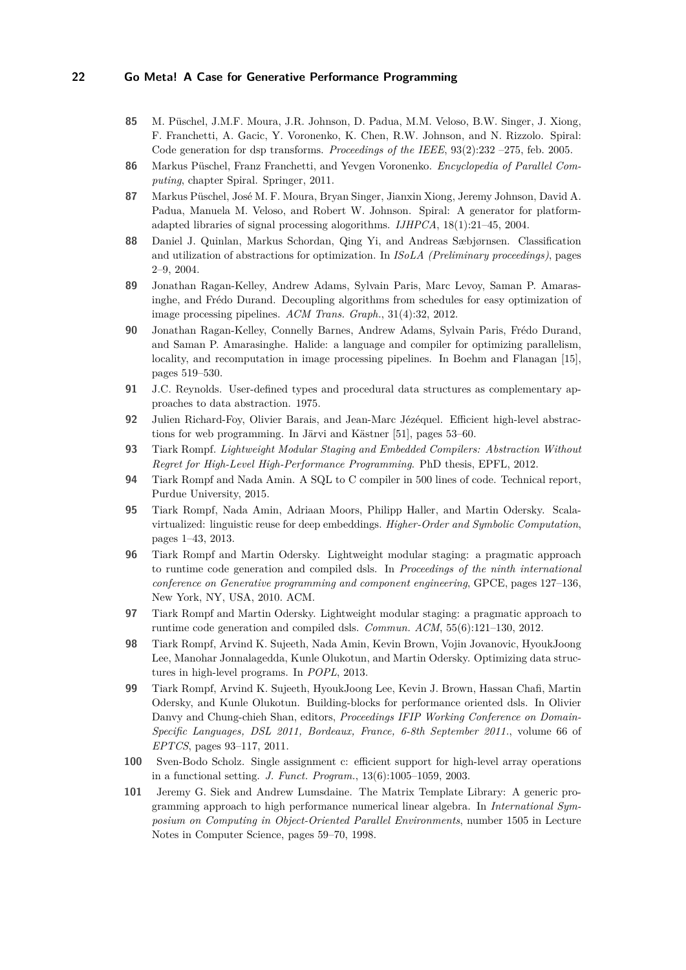- <span id="page-21-1"></span>**85** M. Püschel, J.M.F. Moura, J.R. Johnson, D. Padua, M.M. Veloso, B.W. Singer, J. Xiong, F. Franchetti, A. Gacic, Y. Voronenko, K. Chen, R.W. Johnson, and N. Rizzolo. Spiral: Code generation for dsp transforms. *Proceedings of the IEEE*, 93(2):232 –275, feb. 2005.
- <span id="page-21-2"></span>**86** Markus Püschel, Franz Franchetti, and Yevgen Voronenko. *Encyclopedia of Parallel Computing*, chapter Spiral. Springer, 2011.
- <span id="page-21-14"></span>**87** Markus Püschel, José M. F. Moura, Bryan Singer, Jianxin Xiong, Jeremy Johnson, David A. Padua, Manuela M. Veloso, and Robert W. Johnson. Spiral: A generator for platformadapted libraries of signal processing alogorithms. *IJHPCA*, 18(1):21–45, 2004.
- <span id="page-21-12"></span>**88** Daniel J. Quinlan, Markus Schordan, Qing Yi, and Andreas Sæbjørnsen. Classification and utilization of abstractions for optimization. In *ISoLA (Preliminary proceedings)*, pages 2–9, 2004.
- <span id="page-21-5"></span>**89** Jonathan Ragan-Kelley, Andrew Adams, Sylvain Paris, Marc Levoy, Saman P. Amarasinghe, and Frédo Durand. Decoupling algorithms from schedules for easy optimization of image processing pipelines. *ACM Trans. Graph.*, 31(4):32, 2012.
- <span id="page-21-4"></span>**90** Jonathan Ragan-Kelley, Connelly Barnes, Andrew Adams, Sylvain Paris, Frédo Durand, and Saman P. Amarasinghe. Halide: a language and compiler for optimizing parallelism, locality, and recomputation in image processing pipelines. In Boehm and Flanagan [\[15\]](#page-16-14), pages 519–530.
- <span id="page-21-10"></span>**91** J.C. Reynolds. User-defined types and procedural data structures as complementary approaches to data abstraction. 1975.
- <span id="page-21-15"></span>**92** Julien Richard-Foy, Olivier Barais, and Jean-Marc Jézéquel. Efficient high-level abstractions for web programming. In Järvi and Kästner [\[51\]](#page-19-16), pages 53–60.
- <span id="page-21-16"></span>**93** Tiark Rompf. *Lightweight Modular Staging and Embedded Compilers: Abstraction Without Regret for High-Level High-Performance Programming*. PhD thesis, EPFL, 2012.
- <span id="page-21-6"></span>**94** Tiark Rompf and Nada Amin. A SQL to C compiler in 500 lines of code. Technical report, Purdue University, 2015.
- <span id="page-21-8"></span>**95** Tiark Rompf, Nada Amin, Adriaan Moors, Philipp Haller, and Martin Odersky. Scalavirtualized: linguistic reuse for deep embeddings. *Higher-Order and Symbolic Computation*, pages 1–43, 2013.
- <span id="page-21-7"></span>**96** Tiark Rompf and Martin Odersky. Lightweight modular staging: a pragmatic approach to runtime code generation and compiled dsls. In *Proceedings of the ninth international conference on Generative programming and component engineering*, GPCE, pages 127–136, New York, NY, USA, 2010. ACM.
- <span id="page-21-0"></span>**97** Tiark Rompf and Martin Odersky. Lightweight modular staging: a pragmatic approach to runtime code generation and compiled dsls. *Commun. ACM*, 55(6):121–130, 2012.
- <span id="page-21-3"></span>**98** Tiark Rompf, Arvind K. Sujeeth, Nada Amin, Kevin Brown, Vojin Jovanovic, HyoukJoong Lee, Manohar Jonnalagedda, Kunle Olukotun, and Martin Odersky. Optimizing data structures in high-level programs. In *POPL*, 2013.
- <span id="page-21-9"></span>**99** Tiark Rompf, Arvind K. Sujeeth, HyoukJoong Lee, Kevin J. Brown, Hassan Chafi, Martin Odersky, and Kunle Olukotun. Building-blocks for performance oriented dsls. In Olivier Danvy and Chung-chieh Shan, editors, *Proceedings IFIP Working Conference on Domain-Specific Languages, DSL 2011, Bordeaux, France, 6-8th September 2011.*, volume 66 of *EPTCS*, pages 93–117, 2011.
- <span id="page-21-13"></span>**100** Sven-Bodo Scholz. Single assignment c: efficient support for high-level array operations in a functional setting. *J. Funct. Program.*, 13(6):1005–1059, 2003.
- <span id="page-21-11"></span>**101** Jeremy G. Siek and Andrew Lumsdaine. The Matrix Template Library: A generic programming approach to high performance numerical linear algebra. In *International Symposium on Computing in Object-Oriented Parallel Environments*, number 1505 in Lecture Notes in Computer Science, pages 59–70, 1998.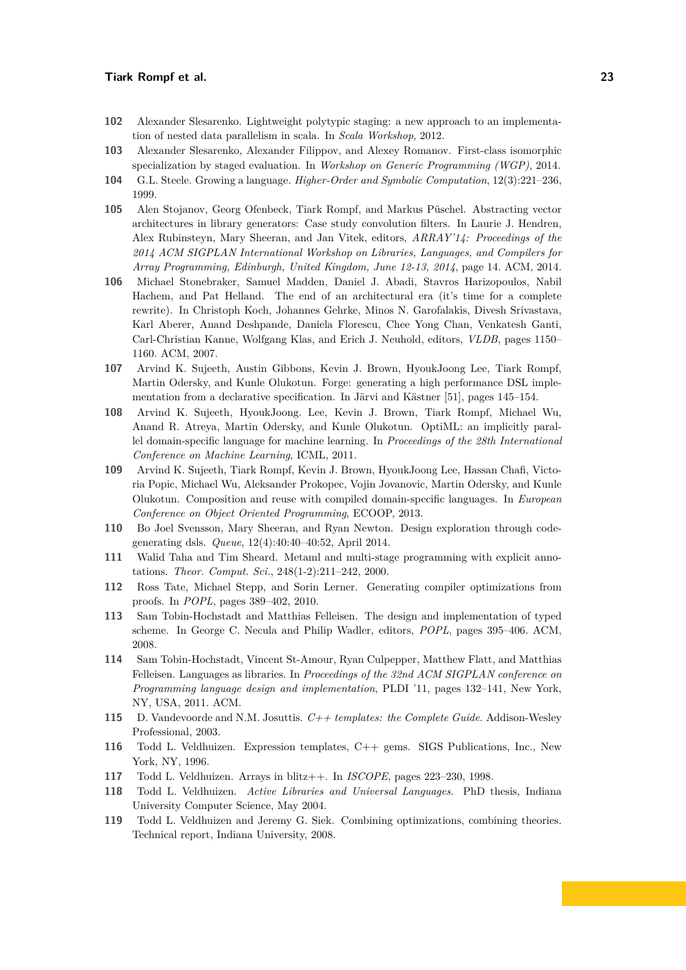- <span id="page-22-16"></span>**102** Alexander Slesarenko. Lightweight polytypic staging: a new approach to an implementation of nested data parallelism in scala. In *Scala Workshop*, 2012.
- <span id="page-22-17"></span>**103** Alexander Slesarenko, Alexander Filippov, and Alexey Romanov. First-class isomorphic specialization by staged evaluation. In *Workshop on Generic Programming (WGP)*, 2014.
- <span id="page-22-5"></span>**104** G.L. Steele. Growing a language. *Higher-Order and Symbolic Computation*, 12(3):221–236, 1999.
- <span id="page-22-4"></span>**105** Alen Stojanov, Georg Ofenbeck, Tiark Rompf, and Markus Püschel. Abstracting vector architectures in library generators: Case study convolution filters. In Laurie J. Hendren, Alex Rubinsteyn, Mary Sheeran, and Jan Vitek, editors, *ARRAY'14: Proceedings of the 2014 ACM SIGPLAN International Workshop on Libraries, Languages, and Compilers for Array Programming, Edinburgh, United Kingdom, June 12-13, 2014*, page 14. ACM, 2014.
- <span id="page-22-2"></span>**106** Michael Stonebraker, Samuel Madden, Daniel J. Abadi, Stavros Harizopoulos, Nabil Hachem, and Pat Helland. The end of an architectural era (it's time for a complete rewrite). In Christoph Koch, Johannes Gehrke, Minos N. Garofalakis, Divesh Srivastava, Karl Aberer, Anand Deshpande, Daniela Florescu, Chee Yong Chan, Venkatesh Ganti, Carl-Christian Kanne, Wolfgang Klas, and Erich J. Neuhold, editors, *VLDB*, pages 1150– 1160. ACM, 2007.
- <span id="page-22-15"></span>**107** Arvind K. Sujeeth, Austin Gibbons, Kevin J. Brown, HyoukJoong Lee, Tiark Rompf, Martin Odersky, and Kunle Olukotun. Forge: generating a high performance DSL implementation from a declarative specification. In Järvi and Kästner [\[51\]](#page-19-16), pages 145–154.
- <span id="page-22-3"></span>**108** Arvind K. Sujeeth, HyoukJoong. Lee, Kevin J. Brown, Tiark Rompf, Michael Wu, Anand R. Atreya, Martin Odersky, and Kunle Olukotun. OptiML: an implicitly parallel domain-specific language for machine learning. In *Proceedings of the 28th International Conference on Machine Learning*, ICML, 2011.
- <span id="page-22-1"></span>**109** Arvind K. Sujeeth, Tiark Rompf, Kevin J. Brown, HyoukJoong Lee, Hassan Chafi, Victoria Popic, Michael Wu, Aleksander Prokopec, Vojin Jovanovic, Martin Odersky, and Kunle Olukotun. Composition and reuse with compiled domain-specific languages. In *European Conference on Object Oriented Programming*, ECOOP, 2013.
- <span id="page-22-6"></span>**110** Bo Joel Svensson, Mary Sheeran, and Ryan Newton. Design exploration through codegenerating dsls. *Queue*, 12(4):40:40–40:52, April 2014.
- <span id="page-22-0"></span>**111** Walid Taha and Tim Sheard. Metaml and multi-stage programming with explicit annotations. *Theor. Comput. Sci.*, 248(1-2):211–242, 2000.
- <span id="page-22-14"></span>**112** Ross Tate, Michael Stepp, and Sorin Lerner. Generating compiler optimizations from proofs. In *POPL*, pages 389–402, 2010.
- <span id="page-22-8"></span>**113** Sam Tobin-Hochstadt and Matthias Felleisen. The design and implementation of typed scheme. In George C. Necula and Philip Wadler, editors, *POPL*, pages 395–406. ACM, 2008.
- <span id="page-22-7"></span>**114** Sam Tobin-Hochstadt, Vincent St-Amour, Ryan Culpepper, Matthew Flatt, and Matthias Felleisen. Languages as libraries. In *Proceedings of the 32nd ACM SIGPLAN conference on Programming language design and implementation*, PLDI '11, pages 132–141, New York, NY, USA, 2011. ACM.
- <span id="page-22-9"></span>**115** D. Vandevoorde and N.M. Josuttis. *C++ templates: the Complete Guide*. Addison-Wesley Professional, 2003.
- <span id="page-22-10"></span>**116** Todd L. Veldhuizen. Expression templates, C++ gems. SIGS Publications, Inc., New York, NY, 1996.
- <span id="page-22-11"></span>**117** Todd L. Veldhuizen. Arrays in blitz++. In *ISCOPE*, pages 223–230, 1998.
- <span id="page-22-12"></span>**118** Todd L. Veldhuizen. *Active Libraries and Universal Languages*. PhD thesis, Indiana University Computer Science, May 2004.
- <span id="page-22-13"></span>**119** Todd L. Veldhuizen and Jeremy G. Siek. Combining optimizations, combining theories. Technical report, Indiana University, 2008.